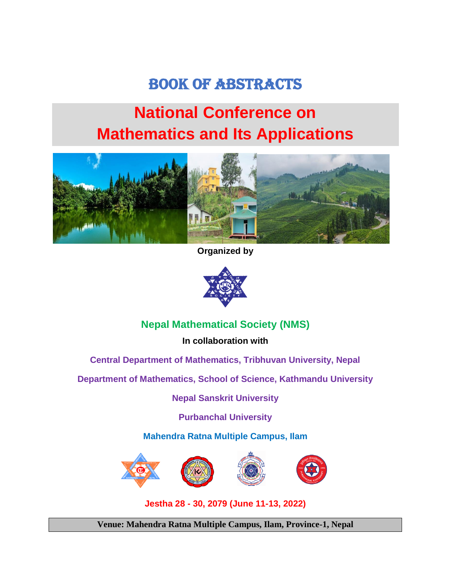# BOOK OF ABSTRACTS

# **National Conference on Mathematics and Its Applications**



**Organized by**



# **Nepal Mathematical Society (NMS)**

**In collaboration with**

**Central Department of Mathematics, Tribhuvan University, Nepal**

**Department of Mathematics, School of Science, Kathmandu University**

**Nepal Sanskrit University**

**Purbanchal University**

**Mahendra Ratna Multiple Campus, Ilam**



**Jestha 28 - 30, 2079 (June 11-13, 2022)**

**Venue: Mahendra Ratna Multiple Campus, Ilam, Province-1, Nepal**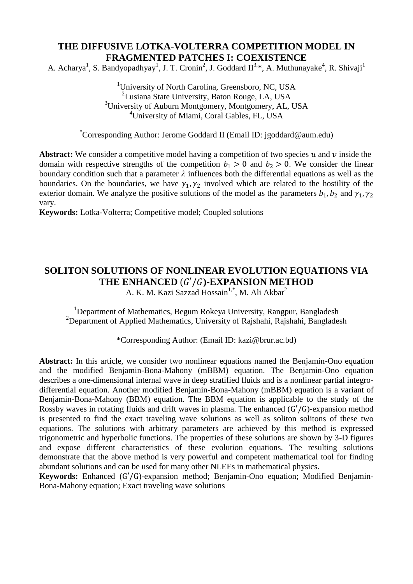## **THE DIFFUSIVE LOTKA-VOLTERRA COMPETITION MODEL IN FRAGMENTED PATCHES I: COEXISTENCE**

A. Acharya<sup>1</sup>, S. Bandyopadhyay<sup>1</sup>, J. T. Cronin<sup>2</sup>, J. Goddard II<sup>3,\*</sup>, A. Muthunayake<sup>4</sup>, R. Shivaji<sup>1</sup>

<sup>1</sup>University of North Carolina, Greensboro, NC, USA <sup>2</sup>Lusiana State University, Baton Rouge, LA, USA <sup>3</sup>University of Auburn Montgomery, Montgomery, AL, USA <sup>4</sup>University of Miami, Coral Gables, FL, USA

\*Corresponding Author: Jerome Goddard II (Email ID: jgoddard@aum.edu)

**Abstract:** We consider a competitive model having a competition of two species  $u$  and  $v$  inside the domain with respective strengths of the competition  $b_1 > 0$  and  $b_2 > 0$ . We consider the linear boundary condition such that a parameter  $\lambda$  influences both the differential equations as well as the boundaries. On the boundaries, we have  $\gamma_1, \gamma_2$  involved which are related to the hostility of the exterior domain. We analyze the positive solutions of the model as the parameters  $b_1$ ,  $b_2$  and  $\gamma_1$ ,  $\gamma_2$ vary.

**Keywords:** Lotka-Volterra; Competitive model; Coupled solutions

# **SOLITON SOLUTIONS OF NONLINEAR EVOLUTION EQUATIONS VIA**  THE ENHANCED  $(G'/G)$ -EXPANSION METHOD

A. K. M. Kazi Sazzad Hossain<sup>1,\*</sup>, M. Ali Akbar<sup>2</sup>

<sup>1</sup>Department of Mathematics, Begum Rokeya University, Rangpur, Bangladesh <sup>2</sup>Department of Applied Mathematics, University of Rajshahi, Rajshahi, Bangladesh

\*Corresponding Author: (Email ID: [kazi@brur.ac.bd\)](mailto:kazi_bru@yahoo.com)

Abstract: In this article, we consider two nonlinear equations named the Benjamin-Ono equation and the modified Benjamin-Bona-Mahony (mBBM) equation. The Benjamin-Ono equation describes a one-dimensional internal wave in deep stratified fluids and is a nonlinear partial integrodifferential equation. Another modified Benjamin-Bona-Mahony (mBBM) equation is a variant of Benjamin-Bona-Mahony (BBM) equation. The BBM equation is applicable to the study of the Rossby waves in rotating fluids and drift waves in plasma. The enhanced (G′/G)-expansion method is presented to find the exact traveling wave solutions as well as soliton solitons of these two equations. The solutions with arbitrary parameters are achieved by this method is expressed trigonometric and hyperbolic functions. The properties of these solutions are shown by 3-D figures and expose different characteristics of these evolution equations. The resulting solutions demonstrate that the above method is very powerful and competent mathematical tool for finding abundant solutions and can be used for many other NLEEs in mathematical physics.

**Keywords:** Enhanced (G′/G)-expansion method; Benjamin-Ono equation; Modified Benjamin-Bona-Mahony equation; Exact traveling wave solutions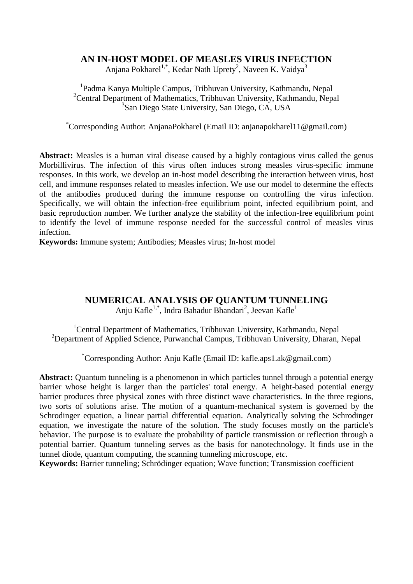#### **AN IN-HOST MODEL OF MEASLES VIRUS INFECTION**

Anjana Pokharel<sup>1,\*</sup>, Kedar Nath Uprety<sup>2</sup>, Naveen K. Vaidya<sup>3</sup>

1 Padma Kanya Multiple Campus, Tribhuvan University, Kathmandu, Nepal <sup>2</sup>Central Department of Mathematics, Tribhuvan University, Kathmandu, Nepal 3 San Diego State University, San Diego, CA, USA

\*Corresponding Author: AnjanaPokharel (Email ID: anjanapokharel11@gmail.com)

**Abstract:** Measles is a human viral disease caused by a highly contagious virus called the genus Morbillivirus. The infection of this virus often induces strong measles virus-specific immune responses. In this work, we develop an in-host model describing the interaction between virus, host cell, and immune responses related to measles infection. We use our model to determine the effects of the antibodies produced during the immune response on controlling the virus infection. Specifically, we will obtain the infection-free equilibrium point, infected equilibrium point, and basic reproduction number. We further analyze the stability of the infection-free equilibrium point to identify the level of immune response needed for the successful control of measles virus infection.

**Keywords:** Immune system; Antibodies; Measles virus; In-host model

## **NUMERICAL ANALYSIS OF QUANTUM TUNNELING**

Anju Kafle<sup>1,\*</sup>, Indra Bahadur Bhandari<sup>2</sup>, Jeevan Kafle<sup>1</sup>

<sup>1</sup>Central Department of Mathematics, Tribhuvan University, Kathmandu, Nepal <sup>2</sup>Department of Applied Science, Purwanchal Campus, Tribhuvan University, Dharan, Nepal

\*Corresponding Author: Anju Kafle (Email ID: kafle.aps1.ak@gmail.com)

Abstract: Quantum tunneling is a phenomenon in which particles tunnel through a potential energy barrier whose height is larger than the particles' total energy. A height-based potential energy barrier produces three physical zones with three distinct wave characteristics. In the three regions, two sorts of solutions arise. The motion of a quantum-mechanical system is governed by the Schrodinger equation, a linear partial differential equation. Analytically solving the Schrodinger equation, we investigate the nature of the solution. The study focuses mostly on the particle's behavior. The purpose is to evaluate the probability of particle transmission or reflection through a potential barrier. Quantum tunneling serves as the basis for nanotechnology. It finds use in the tunnel diode, quantum computing, the scanning tunneling microscope, *etc*.

**Keywords:** Barrier tunneling; Schrödinger equation; Wave function; Transmission coefficient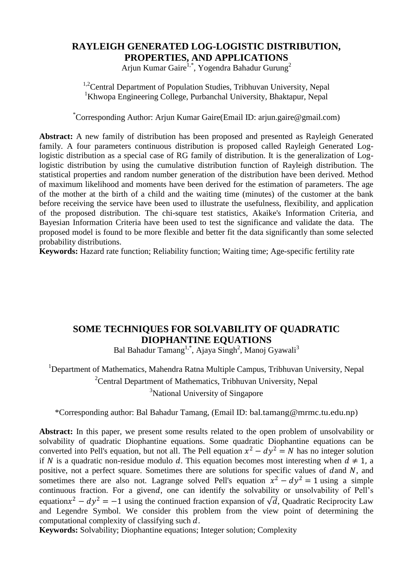#### **RAYLEIGH GENERATED LOG-LOGISTIC DISTRIBUTION, PROPERTIES, AND APPLICATIONS**

Arjun Kumar Gaire<sup>1,\*</sup>, Yogendra Bahadur Gurung<sup>2</sup>

<sup>1,2</sup>Central Department of Population Studies, Tribhuvan University, Nepal <sup>1</sup>Khwopa Engineering College, Purbanchal University, Bhaktapur, Nepal

\*Corresponding Author: Arjun Kumar Gaire(Email ID: arjun.gaire@gmail.com)

**Abstract:** A new family of distribution has been proposed and presented as Rayleigh Generated family. A four parameters continuous distribution is proposed called Rayleigh Generated Loglogistic distribution as a special case of RG family of distribution. It is the generalization of Loglogistic distribution by using the cumulative distribution function of Rayleigh distribution. The statistical properties and random number generation of the distribution have been derived. Method of maximum likelihood and moments have been derived for the estimation of parameters. The age of the mother at the birth of a child and the waiting time (minutes) of the customer at the bank before receiving the service have been used to illustrate the usefulness, flexibility, and application of the proposed distribution. The chi-square test statistics, Akaike's Information Criteria, and Bayesian Information Criteria have been used to test the significance and validate the data. The proposed model is found to be more flexible and better fit the data significantly than some selected probability distributions.

**Keywords:** Hazard rate function; Reliability function; Waiting time; Age-specific fertility rate

## **SOME TECHNIQUES FOR SOLVABILITY OF QUADRATIC DIOPHANTINE EQUATIONS**

Bal Bahadur Tamang<sup>1,\*</sup>, Ajaya Singh<sup>2</sup>, Manoj Gyawali<sup>3</sup>

<sup>1</sup>Department of Mathematics, Mahendra Ratna Multiple Campus, Tribhuvan University, Nepal <sup>2</sup>Central Department of Mathematics, Tribhuvan University, Nepal <sup>3</sup>National University of Singapore

\*Corresponding author: Bal Bahadur Tamang, (Email ID: bal.tamang@mrmc.tu.edu.np)

**Abstract:** In this paper, we present some results related to the open problem of unsolvability or solvability of quadratic Diophantine equations. Some quadratic Diophantine equations can be converted into Pell's equation, but not all. The Pell equation  $x^2 - dy^2 = N$  has no integer solution if N is a quadratic non-residue modulo d. This equation becomes most interesting when  $d \neq 1$ , a positive, not a perfect square. Sometimes there are solutions for specific values of dand  $N$ , and sometimes there are also not. Lagrange solved Pell's equation  $x^2 - dy^2 = 1$  using a simple continuous fraction. For a givend, one can identify the solvability or unsolvability of Pell's equation $x^2 - dy^2 = -1$  using the continued fraction expansion of  $\sqrt{d}$ , Quadratic Reciprocity Law and Legendre Symbol. We consider this problem from the view point of determining the computational complexity of classifying such  $d$ .

**Keywords:** Solvability; Diophantine equations; Integer solution; Complexity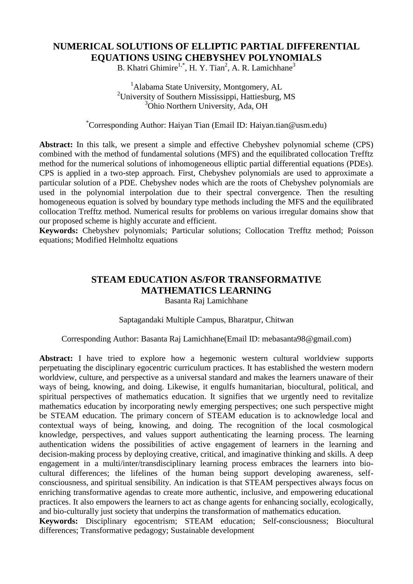#### **NUMERICAL SOLUTIONS OF ELLIPTIC PARTIAL DIFFERENTIAL EQUATIONS USING CHEBYSHEV POLYNOMIALS**

B. Khatri Ghimire<sup>1,\*</sup>, H. Y. Tian<sup>2</sup>, A. R. Lamichhane<sup>3</sup>

<sup>1</sup>Alabama State University, Montgomery, AL <sup>2</sup>University of Southern Mississippi, Hattiesburg, MS <sup>3</sup>Ohio Northern University, Ada, OH

#### \*Corresponding Author: Haiyan Tian (Email ID: Haiyan.tian@usm.edu)

Abstract: In this talk, we present a simple and effective Chebyshev polynomial scheme (CPS) combined with the method of fundamental solutions (MFS) and the equilibrated collocation Trefftz method for the numerical solutions of inhomogeneous elliptic partial differential equations (PDEs). CPS is applied in a two-step approach. First, Chebyshev polynomials are used to approximate a particular solution of a PDE. Chebyshev nodes which are the roots of Chebyshev polynomials are used in the polynomial interpolation due to their spectral convergence. Then the resulting homogeneous equation is solved by boundary type methods including the MFS and the equilibrated collocation Trefftz method. Numerical results for problems on various irregular domains show that our proposed scheme is highly accurate and efficient.

**Keywords:** Chebyshev polynomials; Particular solutions; Collocation Trefftz method; Poisson equations; Modified Helmholtz equations

#### **STEAM EDUCATION AS/FOR TRANSFORMATIVE MATHEMATICS LEARNING**  Basanta Raj Lamichhane

#### Saptagandaki Multiple Campus, Bharatpur, Chitwan

#### Corresponding Author: Basanta Raj Lamichhane(Email ID: mebasanta98@gmail.com)

**Abstract:** I have tried to explore how a hegemonic western cultural worldview supports perpetuating the disciplinary egocentric curriculum practices. It has established the western modern worldview, culture, and perspective as a universal standard and makes the learners unaware of their ways of being, knowing, and doing. Likewise, it engulfs humanitarian, biocultural, political, and spiritual perspectives of mathematics education. It signifies that we urgently need to revitalize mathematics education by incorporating newly emerging perspectives; one such perspective might be STEAM education. The primary concern of STEAM education is to acknowledge local and contextual ways of being, knowing, and doing. The recognition of the local cosmological knowledge, perspectives, and values support authenticating the learning process. The learning authentication widens the possibilities of active engagement of learners in the learning and decision-making process by deploying creative, critical, and imaginative thinking and skills. A deep engagement in a multi/inter/transdisciplinary learning process embraces the learners into biocultural differences; the lifelines of the human being support developing awareness, selfconsciousness, and spiritual sensibility. An indication is that STEAM perspectives always focus on enriching transformative agendas to create more authentic, inclusive, and empowering educational practices. It also empowers the learners to act as change agents for enhancing socially, ecologically, and bio-culturally just society that underpins the transformation of mathematics education.

**Keywords:** Disciplinary egocentrism; STEAM education; Self-consciousness; Biocultural differences; Transformative pedagogy; Sustainable development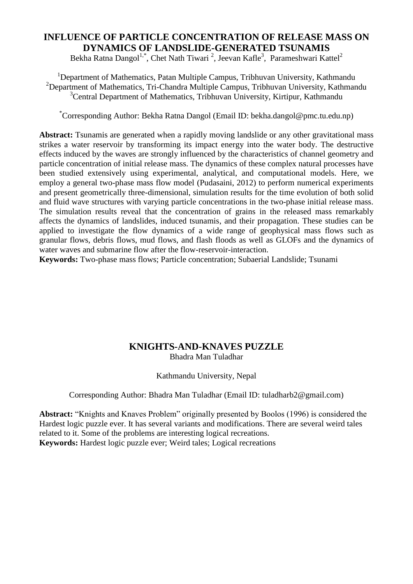## **INFLUENCE OF PARTICLE CONCENTRATION OF RELEASE MASS ON DYNAMICS OF LANDSLIDE-GENERATED TSUNAMIS**

Bekha Ratna Dangol<sup>1,\*</sup>, Chet Nath Tiwari<sup>2</sup>, Jeevan Kafle<sup>3</sup>, Parameshwari Kattel<sup>2</sup>

<sup>1</sup>Department of Mathematics, Patan Multiple Campus, Tribhuvan University, Kathmandu <sup>2</sup>Department of Mathematics, Tri-Chandra Multiple Campus, Tribhuvan University, Kathmandu  $3$ Central Department of Mathematics, Tribhuvan University, Kirtipur, Kathmandu

\*Corresponding Author: Bekha Ratna Dangol (Email ID: bekha.dangol@pmc.tu.edu.np)

**Abstract:** Tsunamis are generated when a rapidly moving landslide or any other gravitational mass strikes a water reservoir by transforming its impact energy into the water body. The destructive effects induced by the waves are strongly influenced by the characteristics of channel geometry and particle concentration of initial release mass. The dynamics of these complex natural processes have been studied extensively using experimental, analytical, and computational models. Here, we employ a general two-phase mass flow model (Pudasaini, 2012) to perform numerical experiments and present geometrically three-dimensional, simulation results for the time evolution of both solid and fluid wave structures with varying particle concentrations in the two-phase initial release mass. The simulation results reveal that the concentration of grains in the released mass remarkably affects the dynamics of landslides, induced tsunamis, and their propagation. These studies can be applied to investigate the flow dynamics of a wide range of geophysical mass flows such as granular flows, debris flows, mud flows, and flash floods as well as GLOFs and the dynamics of water waves and submarine flow after the flow-reservoir-interaction.

**Keywords:** Two-phase mass flows; Particle concentration; Subaerial Landslide; Tsunami

#### **KNIGHTS-AND-KNAVES PUZZLE** Bhadra Man Tuladhar

#### Kathmandu University, Nepal

Corresponding Author: Bhadra Man Tuladhar (Email ID: tuladharb2@gmail.com)

Abstract: "Knights and Knaves Problem" originally presented by Boolos (1996) is considered the Hardest logic puzzle ever. It has several variants and modifications. There are several weird tales related to it. Some of the problems are interesting logical recreations. **Keywords:** Hardest logic puzzle ever; Weird tales; Logical recreations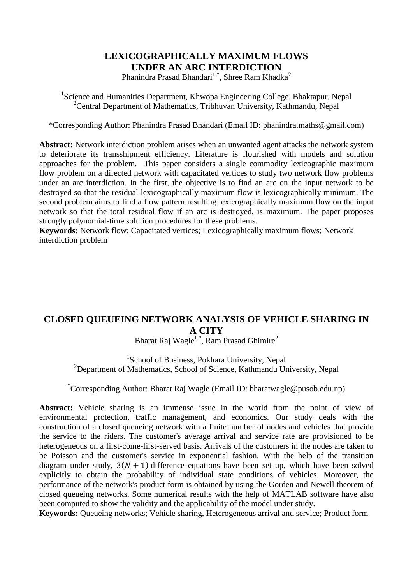#### **LEXICOGRAPHICALLY MAXIMUM FLOWS UNDER AN ARC INTERDICTION**

Phanindra Prasad Bhandari<sup>1,\*</sup>, Shree Ram Khadka<sup>2</sup>

<sup>1</sup>Science and Humanities Department, Khwopa Engineering College, Bhaktapur, Nepal <sup>2</sup>Central Department of Mathematics, Tribhuvan University, Kathmandu, Nepal

\*Corresponding Author: Phanindra Prasad Bhandari (Email ID: phanindra.maths@gmail.com)

**Abstract:** Network interdiction problem arises when an unwanted agent attacks the network system to deteriorate its transshipment efficiency. Literature is flourished with models and solution approaches for the problem. This paper considers a single commodity lexicographic maximum flow problem on a directed network with capacitated vertices to study two network flow problems under an arc interdiction. In the first, the objective is to find an arc on the input network to be destroyed so that the residual lexicographically maximum flow is lexicographically minimum. The second problem aims to find a flow pattern resulting lexicographically maximum flow on the input network so that the total residual flow if an arc is destroyed, is maximum. The paper proposes strongly polynomial-time solution procedures for these problems.

**Keywords:** Network flow; Capacitated vertices; Lexicographically maximum flows; Network interdiction problem

# **CLOSED QUEUEING NETWORK ANALYSIS OF VEHICLE SHARING IN A CITY**

Bharat Raj Wagle<sup>1,\*</sup>, Ram Prasad Ghimire<sup>2</sup>

<sup>1</sup>School of Business, Pokhara University, Nepal <sup>2</sup>Department of Mathematics, School of Science, Kathmandu University, Nepal

\*Corresponding Author: Bharat Raj Wagle (Email ID: bharatwagle@pusob.edu.np)

**Abstract:** Vehicle sharing is an immense issue in the world from the point of view of environmental protection, traffic management, and economics. Our study deals with the construction of a closed queueing network with a finite number of nodes and vehicles that provide the service to the riders. The customer's average arrival and service rate are provisioned to be heterogeneous on a first-come-first-served basis. Arrivals of the customers in the nodes are taken to be Poisson and the customer's service in exponential fashion. With the help of the transition diagram under study,  $3(N + 1)$  difference equations have been set up, which have been solved explicitly to obtain the probability of individual state conditions of vehicles. Moreover, the performance of the network's product form is obtained by using the Gorden and Newell theorem of closed queueing networks. Some numerical results with the help of MATLAB software have also been computed to show the validity and the applicability of the model under study.

**Keywords:** Queueing networks; Vehicle sharing, Heterogeneous arrival and service; Product form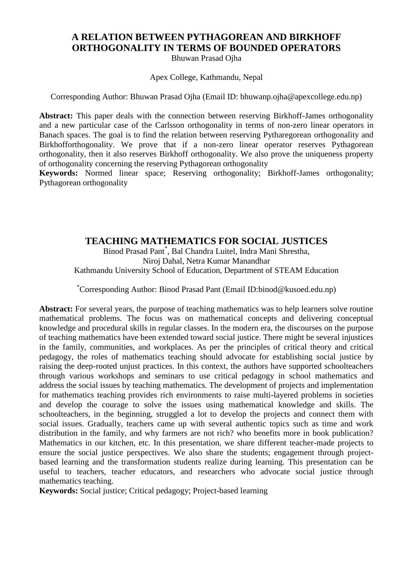# **A RELATION BETWEEN PYTHAGOREAN AND BIRKHOFF ORTHOGONALITY IN TERMS OF BOUNDED OPERATORS**

Bhuwan Prasad Ojha

Apex College, Kathmandu, Nepal

Corresponding Author: Bhuwan Prasad Ojha (Email ID: bhuwanp.ojha@apexcollege.edu.np)

**Abstract:** This paper deals with the connection between reserving Birkhoff-James orthogonality and a new particular case of the Carlsson orthogonality in terms of non-zero linear operators in Banach spaces. The goal is to find the relation between reserving Pytharegorean orthogonality and Birkhofforthogonality. We prove that if a non-zero linear operator reserves Pythagorean orthogonality, then it also reserves Birkhoff orthogonality. We also prove the uniqueness property of orthogonality concerning the reserving Pythagorean orthogonality

**Keywords:** Normed linear space; Reserving orthogonality; Birkhoff-James orthogonality; Pythagorean orthogonality

## **TEACHING MATHEMATICS FOR SOCIAL JUSTICES**

Binod Prasad Pant\* , Bal Chandra Luitel, Indra Mani Shrestha, Niroj Dahal, Netra Kumar Manandhar Kathmandu University School of Education, Department of STEAM Education

\*Corresponding Author: Binod Prasad Pant (Email ID:binod@kusoed.edu.np)

**Abstract:** For several years, the purpose of teaching mathematics was to help learners solve routine mathematical problems. The focus was on mathematical concepts and delivering conceptual knowledge and procedural skills in regular classes. In the modern era, the discourses on the purpose of teaching mathematics have been extended toward social justice. There might be several injustices in the family, communities, and workplaces. As per the principles of critical theory and critical pedagogy, the roles of mathematics teaching should advocate for establishing social justice by raising the deep-rooted unjust practices. In this context, the authors have supported schoolteachers through various workshops and seminars to use critical pedagogy in school mathematics and address the social issues by teaching mathematics. The development of projects and implementation for mathematics teaching provides rich environments to raise multi-layered problems in societies and develop the courage to solve the issues using mathematical knowledge and skills. The schoolteachers, in the beginning, struggled a lot to develop the projects and connect them with social issues. Gradually, teachers came up with several authentic topics such as time and work distribution in the family, and why farmers are not rich? who benefits more in book publication? Mathematics in our kitchen, etc. In this presentation, we share different teacher-made projects to ensure the social justice perspectives. We also share the students; engagement through projectbased learning and the transformation students realize during learning. This presentation can be useful to teachers, teacher educators, and researchers who advocate social justice through mathematics teaching.

**Keywords:** Social justice; Critical pedagogy; Project-based learning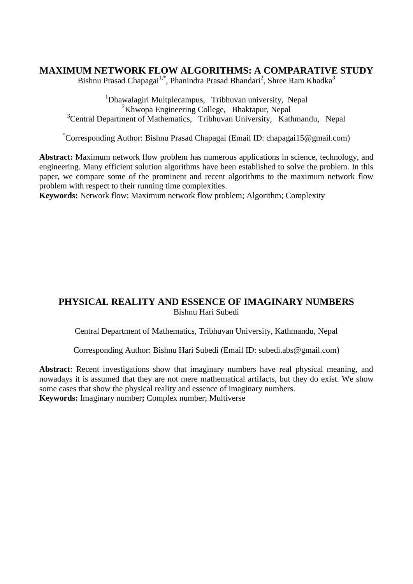#### **MAXIMUM NETWORK FLOW ALGORITHMS: A COMPARATIVE STUDY**

Bishnu Prasad Chapagai<sup>1,\*</sup>, Phanindra Prasad Bhandari<sup>2</sup>, Shree Ram Khadka<sup>3</sup>

<sup>1</sup>Dhawalagiri Multplecampus, Tribhuvan university, Nepal <sup>2</sup>Khwopa Engineering College, Bhaktapur, Nepal <sup>3</sup>Central Department of Mathematics, Tribhuvan University, Kathmandu, Nepal

\*Corresponding Author: Bishnu Prasad Chapagai (Email ID: chapagai15@gmail.com)

**Abstract:** Maximum network flow problem has numerous applications in science, technology, and engineering. Many efficient solution algorithms have been established to solve the problem. In this paper, we compare some of the prominent and recent algorithms to the maximum network flow problem with respect to their running time complexities.

**Keywords:** Network flow; Maximum network flow problem; Algorithm; Complexity

#### **PHYSICAL REALITY AND ESSENCE OF IMAGINARY NUMBERS** Bishnu Hari Subedi

Central Department of Mathematics, Tribhuvan University, Kathmandu, Nepal

Corresponding Author: Bishnu Hari Subedi (Email ID: subedi.abs@gmail.com)

**Abstract**: Recent investigations show that imaginary numbers have real physical meaning, and nowadays it is assumed that they are not mere mathematical artifacts, but they do exist. We show some cases that show the physical reality and essence of imaginary numbers. **Keywords:** Imaginary number**;** Complex number; Multiverse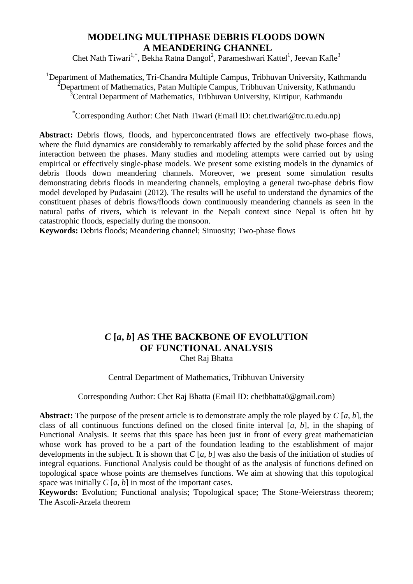## **MODELING MULTIPHASE DEBRIS FLOODS DOWN A MEANDERING CHANNEL**

Chet Nath Tiwari<sup>1,\*</sup>, Bekha Ratna Dangol<sup>2</sup>, Parameshwari Kattel<sup>1</sup>, Jeevan Kafle<sup>3</sup>

<sup>1</sup>Department of Mathematics, Tri-Chandra Multiple Campus, Tribhuvan University, Kathmandu <sup>2</sup>Department of Mathematics, Patan Multiple Campus, Tribhuvan University, Kathmandu  $3$ Central Department of Mathematics, Tribhuvan University, Kirtipur, Kathmandu

\*Corresponding Author: Chet Nath Tiwari (Email ID: chet.tiwari@trc.tu.edu.np)

Abstract: Debris flows, floods, and hyperconcentrated flows are effectively two-phase flows, where the fluid dynamics are considerably to remarkably affected by the solid phase forces and the interaction between the phases. Many studies and modeling attempts were carried out by using empirical or effectively single-phase models. We present some existing models in the dynamics of debris floods down meandering channels. Moreover, we present some simulation results demonstrating debris floods in meandering channels, employing a general two-phase debris flow model developed by Pudasaini (2012). The results will be useful to understand the dynamics of the constituent phases of debris flows/floods down continuously meandering channels as seen in the natural paths of rivers, which is relevant in the Nepali context since Nepal is often hit by catastrophic floods, especially during the monsoon.

**Keywords:** Debris floods; Meandering channel; Sinuosity; Two-phase flows

# *C* **[***a***,** *b***] AS THE BACKBONE OF EVOLUTION OF FUNCTIONAL ANALYSIS**

Chet Raj Bhatta

#### Central Department of Mathematics, Tribhuvan University

#### Corresponding Author: Chet Raj Bhatta (Email ID: chetbhatta0@gmail.com)

**Abstract:** The purpose of the present article is to demonstrate amply the role played by *C* [*a*, *b*], the class of all continuous functions defined on the closed finite interval [*a*, *b*], in the shaping of Functional Analysis. It seems that this space has been just in front of every great mathematician whose work has proved to be a part of the foundation leading to the establishment of major developments in the subject. It is shown that *C* [*a*, *b*] was also the basis of the initiation of studies of integral equations. Functional Analysis could be thought of as the analysis of functions defined on topological space whose points are themselves functions. We aim at showing that this topological space was initially *C* [*a*, *b*] in most of the important cases.

**Keywords:** Evolution; Functional analysis; Topological space; The Stone-Weierstrass theorem; The Ascoli-Arzela theorem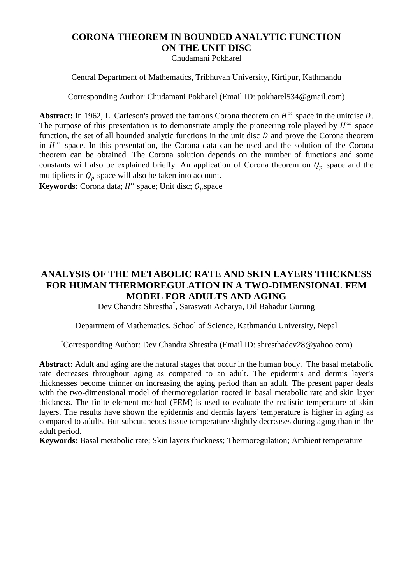# **CORONA THEOREM IN BOUNDED ANALYTIC FUNCTION ON THE UNIT DISC**

Chudamani Pokharel

Central Department of Mathematics, Tribhuvan University, Kirtipur, Kathmandu

Corresponding Author: Chudamani Pokharel (Email ID: pokharel534@gmail.com)

Abstract: In 1962, L. Carleson's proved the famous Corona theorem on  $H^{\infty}$  space in the unitdisc D. The purpose of this presentation is to demonstrate amply the pioneering role played by  $H^{\infty}$  space function, the set of all bounded analytic functions in the unit disc  $D$  and prove the Corona theorem in  $H^{\infty}$  space. In this presentation, the Corona data can be used and the solution of the Corona theorem can be obtained. The Corona solution depends on the number of functions and some constants will also be explained briefly. An application of Corona theorem on  $Q_p$  space and the multipliers in  $Q_p$  space will also be taken into account.

**Keywords:** Corona data;  $H^{\infty}$  space; Unit disc;  $Q_p$  space

# **ANALYSIS OF THE METABOLIC RATE AND SKIN LAYERS THICKNESS FOR HUMAN THERMOREGULATION IN A TWO-DIMENSIONAL FEM MODEL FOR ADULTS AND AGING**

Dev Chandra Shrestha\* , Saraswati Acharya, Dil Bahadur Gurung

Department of Mathematics, School of Science, Kathmandu University, Nepal

\*Corresponding Author: Dev Chandra Shrestha (Email ID: shresthadev28@yahoo.com)

**Abstract:** Adult and aging are the natural stages that occur in the human body. The basal metabolic rate decreases throughout aging as compared to an adult. The epidermis and dermis layer's thicknesses become thinner on increasing the aging period than an adult. The present paper deals with the two-dimensional model of thermoregulation rooted in basal metabolic rate and skin layer thickness. The finite element method (FEM) is used to evaluate the realistic temperature of skin layers. The results have shown the epidermis and dermis layers' temperature is higher in aging as compared to adults. But subcutaneous tissue temperature slightly decreases during aging than in the adult period.

**Keywords:** Basal metabolic rate; Skin layers thickness; Thermoregulation; Ambient temperature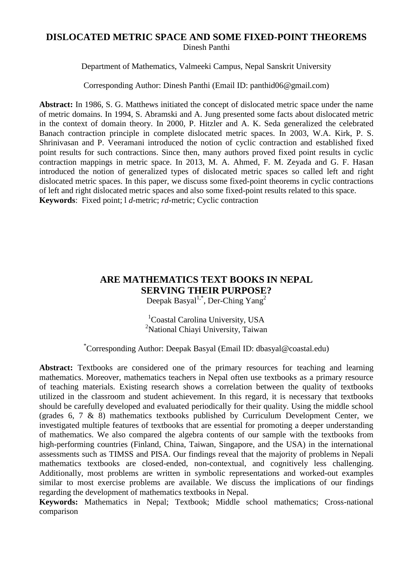#### **DISLOCATED METRIC SPACE AND SOME FIXED-POINT THEOREMS** Dinesh Panthi

Department of Mathematics, Valmeeki Campus, Nepal Sanskrit University

Corresponding Author: Dinesh Panthi (Email ID: panthid06@gmail.com)

**Abstract:** In 1986, S. G. Matthews initiated the concept of dislocated metric space under the name of metric domains. In 1994, S. Abramski and A. Jung presented some facts about dislocated metric in the context of domain theory. In 2000, P. Hitzler and A. K. Seda generalized the celebrated Banach contraction principle in complete dislocated metric spaces. In 2003, W.A. Kirk, P. S. Shrinivasan and P. Veeramani introduced the notion of cyclic contraction and established fixed point results for such contractions. Since then, many authors proved fixed point results in cyclic contraction mappings in metric space. In 2013, M. A. Ahmed, F. M. Zeyada and G. F. Hasan introduced the notion of generalized types of dislocated metric spaces so called left and right dislocated metric spaces. In this paper, we discuss some fixed-point theorems in cyclic contractions of left and right dislocated metric spaces and also some fixed-point results related to this space. **Keywords**: Fixed point; l *d*-metric; *rd*-metric; Cyclic contraction

# **ARE MATHEMATICS TEXT BOOKS IN NEPAL SERVING THEIR PURPOSE?**

Deepak Basyal<sup>1,\*</sup>, Der-Ching Yang<sup>2</sup>

<sup>1</sup>Coastal Carolina University, USA <sup>2</sup>National Chiayi University, Taiwan

\*Corresponding Author: Deepak Basyal (Email ID: dbasyal@coastal.edu)

Abstract: Textbooks are considered one of the primary resources for teaching and learning mathematics. Moreover, mathematics teachers in Nepal often use textbooks as a primary resource of teaching materials. Existing research shows a correlation between the quality of textbooks utilized in the classroom and student achievement. In this regard, it is necessary that textbooks should be carefully developed and evaluated periodically for their quality. Using the middle school (grades 6, 7 & 8) mathematics textbooks published by Curriculum Development Center, we investigated multiple features of textbooks that are essential for promoting a deeper understanding of mathematics. We also compared the algebra contents of our sample with the textbooks from high-performing countries (Finland, China, Taiwan, Singapore, and the USA) in the international assessments such as TIMSS and PISA. Our findings reveal that the majority of problems in Nepali mathematics textbooks are closed-ended, non-contextual, and cognitively less challenging. Additionally, most problems are written in symbolic representations and worked-out examples similar to most exercise problems are available. We discuss the implications of our findings regarding the development of mathematics textbooks in Nepal.

**Keywords:** Mathematics in Nepal; Textbook; Middle school mathematics; Cross-national comparison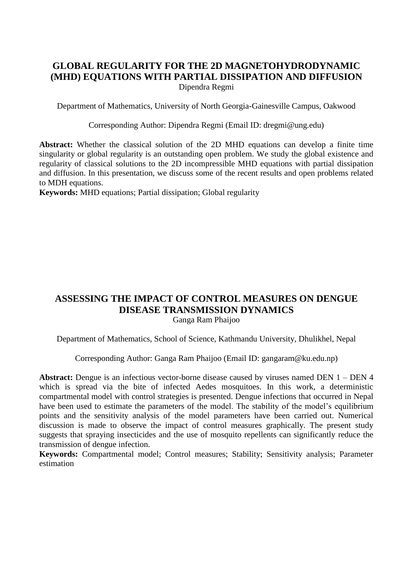#### **GLOBAL REGULARITY FOR THE 2D MAGNETOHYDRODYNAMIC (MHD) EQUATIONS WITH PARTIAL DISSIPATION AND DIFFUSION** Dipendra Regmi

Department of Mathematics, University of North Georgia-Gainesville Campus, Oakwood

Corresponding Author: Dipendra Regmi (Email ID: dregmi@ung.edu)

**Abstract:** Whether the classical solution of the 2D MHD equations can develop a finite time singularity or global regularity is an outstanding open problem. We study the global existence and regularity of classical solutions to the 2D incompressible MHD equations with partial dissipation and diffusion. In this presentation, we discuss some of the recent results and open problems related to MDH equations.

**Keywords:** MHD equations; Partial dissipation; Global regularity

#### **ASSESSING THE IMPACT OF CONTROL MEASURES ON DENGUE DISEASE TRANSMISSION DYNAMICS** Ganga Ram Phaijoo

Department of Mathematics, School of Science, Kathmandu University, Dhulikhel, Nepal

Corresponding Author: Ganga Ram Phaijoo (Email ID: gangaram@ku.edu.np)

**Abstract:** Dengue is an infectious vector-borne disease caused by viruses named DEN 1 – DEN 4 which is spread via the bite of infected Aedes mosquitoes. In this work, a deterministic compartmental model with control strategies is presented. Dengue infections that occurred in Nepal have been used to estimate the parameters of the model. The stability of the model's equilibrium points and the sensitivity analysis of the model parameters have been carried out. Numerical discussion is made to observe the impact of control measures graphically. The present study suggests that spraying insecticides and the use of mosquito repellents can significantly reduce the transmission of dengue infection.

**Keywords:** Compartmental model; Control measures; Stability; Sensitivity analysis; Parameter estimation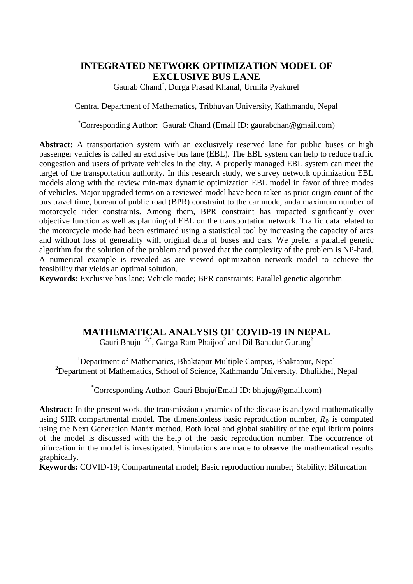## **INTEGRATED NETWORK OPTIMIZATION MODEL OF EXCLUSIVE BUS LANE**

Gaurab Chand\* , Durga Prasad Khanal, Urmila Pyakurel

Central Department of Mathematics, Tribhuvan University, Kathmandu, Nepal

\*Corresponding Author: Gaurab Chand (Email ID: gaurabchan@gmail.com)

Abstract: A transportation system with an exclusively reserved lane for public buses or high passenger vehicles is called an exclusive bus lane (EBL). The EBL system can help to reduce traffic congestion and users of private vehicles in the city. A properly managed EBL system can meet the target of the transportation authority. In this research study, we survey network optimization EBL models along with the review min-max dynamic optimization EBL model in favor of three modes of vehicles. Major upgraded terms on a reviewed model have been taken as prior origin count of the bus travel time, bureau of public road (BPR) constraint to the car mode, anda maximum number of motorcycle rider constraints. Among them, BPR constraint has impacted significantly over objective function as well as planning of EBL on the transportation network. Traffic data related to the motorcycle mode had been estimated using a statistical tool by increasing the capacity of arcs and without loss of generality with original data of buses and cars. We prefer a parallel genetic algorithm for the solution of the problem and proved that the complexity of the problem is NP-hard. A numerical example is revealed as are viewed optimization network model to achieve the feasibility that yields an optimal solution.

**Keywords:** Exclusive bus lane; Vehicle mode; BPR constraints; Parallel genetic algorithm

## **MATHEMATICAL ANALYSIS OF COVID-19 IN NEPAL**

Gauri Bhuju<sup>1,2,\*</sup>, Ganga Ram Phaijoo<sup>2</sup> and Dil Bahadur Gurung<sup>2</sup>

<sup>1</sup>Department of Mathematics, Bhaktapur Multiple Campus, Bhaktapur, Nepal <sup>2</sup>Department of Mathematics, School of Science, Kathmandu University, Dhulikhel, Nepal

\*Corresponding Author: Gauri Bhuju(Email ID: bhujug@gmail.com)

**Abstract:** In the present work, the transmission dynamics of the disease is analyzed mathematically using SIIR compartmental model. The dimensionless basic reproduction number,  $R_0$  is computed using the Next Generation Matrix method. Both local and global stability of the equilibrium points of the model is discussed with the help of the basic reproduction number. The occurrence of bifurcation in the model is investigated. Simulations are made to observe the mathematical results graphically.

**Keywords:** COVID-19; Compartmental model; Basic reproduction number; Stability; Bifurcation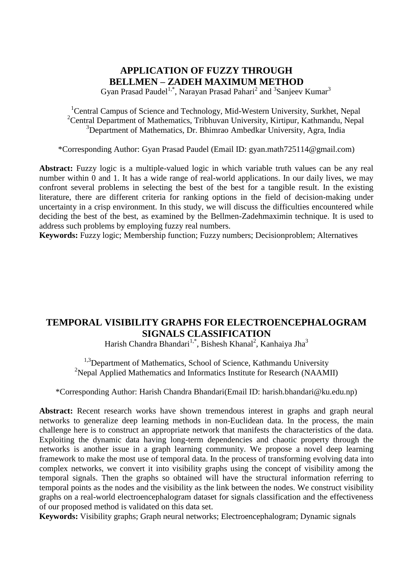## **APPLICATION OF FUZZY THROUGH BELLMEN – ZADEH MAXIMUM METHOD**

Gyan Prasad Paudel<sup>1,\*</sup>, Narayan Prasad Pahari<sup>2</sup> and <sup>3</sup>Sanjeev Kumar<sup>3</sup>

<sup>1</sup>Central Campus of Science and Technology, Mid-Western University, Surkhet, Nepal <sup>2</sup>Central Department of Mathematics, Tribhuvan University, Kirtipur, Kathmandu, Nepal <sup>3</sup>Department of Mathematics, Dr. Bhimrao Ambedkar University, Agra, India

\*Corresponding Author: Gyan Prasad Paudel (Email ID: gyan.math725114@gmail.com)

Abstract: Fuzzy logic is a multiple-valued logic in which variable truth values can be any real number within 0 and 1. It has a wide range of real-world applications. In our daily lives, we may confront several problems in selecting the best of the best for a tangible result. In the existing literature, there are different criteria for ranking options in the field of decision-making under uncertainty in a crisp environment. In this study, we will discuss the difficulties encountered while deciding the best of the best, as examined by the Bellmen-Zadehmaximin technique. It is used to address such problems by employing fuzzy real numbers.

**Keywords:** Fuzzy logic; Membership function; Fuzzy numbers; Decisionproblem; Alternatives

## **TEMPORAL VISIBILITY GRAPHS FOR ELECTROENCEPHALOGRAM SIGNALS CLASSIFICATION**

Harish Chandra Bhandari<sup>1,\*</sup>, Bishesh Khanal<sup>2</sup>, Kanhaiya Jha<sup>3</sup>

<sup>1,3</sup>Department of Mathematics, School of Science, Kathmandu University <sup>2</sup>Nepal Applied Mathematics and Informatics Institute for Research (NAAMII)

\*Corresponding Author: Harish Chandra Bhandari(Email ID: harish.bhandari@ku.edu.np)

Abstract: Recent research works have shown tremendous interest in graphs and graph neural networks to generalize deep learning methods in non-Euclidean data. In the process, the main challenge here is to construct an appropriate network that manifests the characteristics of the data. Exploiting the dynamic data having long-term dependencies and chaotic property through the networks is another issue in a graph learning community. We propose a novel deep learning framework to make the most use of temporal data. In the process of transforming evolving data into complex networks, we convert it into visibility graphs using the concept of visibility among the temporal signals. Then the graphs so obtained will have the structural information referring to temporal points as the nodes and the visibility as the link between the nodes. We construct visibility graphs on a real-world electroencephalogram dataset for signals classification and the effectiveness of our proposed method is validated on this data set.

**Keywords:** Visibility graphs; Graph neural networks; Electroencephalogram; Dynamic signals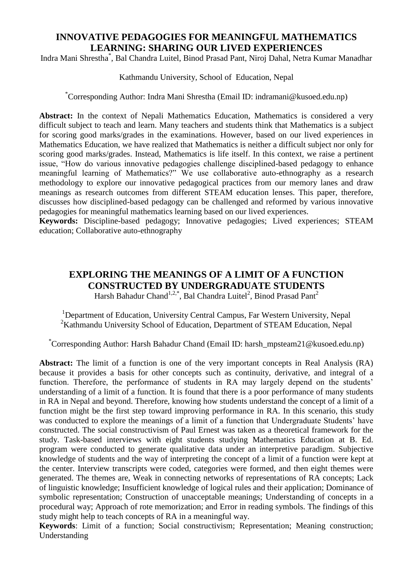## **INNOVATIVE PEDAGOGIES FOR MEANINGFUL MATHEMATICS LEARNING: SHARING OUR LIVED EXPERIENCES**

Indra Mani Shrestha\* , Bal Chandra Luitel, Binod Prasad Pant, Niroj Dahal, Netra Kumar Manadhar

Kathmandu University, School of Education, Nepal

\*Corresponding Author: Indra Mani Shrestha (Email ID: indramani@kusoed.edu.np)

**Abstract:** In the context of Nepali Mathematics Education, Mathematics is considered a very difficult subject to teach and learn. Many teachers and students think that Mathematics is a subject for scoring good marks/grades in the examinations. However, based on our lived experiences in Mathematics Education, we have realized that Mathematics is neither a difficult subject nor only for scoring good marks/grades. Instead, Mathematics is life itself. In this context, we raise a pertinent issue, "How do various innovative pedagogies challenge disciplined-based pedagogy to enhance meaningful learning of Mathematics?" We use collaborative auto-ethnography as a research methodology to explore our innovative pedagogical practices from our memory lanes and draw meanings as research outcomes from different STEAM education lenses. This paper, therefore, discusses how disciplined-based pedagogy can be challenged and reformed by various innovative pedagogies for meaningful mathematics learning based on our lived experiences.

**Keywords:** Discipline-based pedagogy; Innovative pedagogies; Lived experiences; STEAM education; Collaborative auto-ethnography

# **EXPLORING THE MEANINGS OF A LIMIT OF A FUNCTION CONSTRUCTED BY UNDERGRADUATE STUDENTS**

Harsh Bahadur Chand<sup>1,2,\*</sup>, Bal Chandra Luitel<sup>2</sup>, Binod Prasad Pant<sup>2</sup>

<sup>1</sup>Department of Education, University Central Campus, Far Western University, Nepal <sup>2</sup>Kathmandu University School of Education, Department of STEAM Education, Nepal

\*Corresponding Author: Harsh Bahadur Chand (Email ID: harsh\_mpsteam21@kusoed.edu.np)

**Abstract:** The limit of a function is one of the very important concepts in Real Analysis (RA) because it provides a basis for other concepts such as continuity, derivative, and integral of a function. Therefore, the performance of students in RA may largely depend on the students' understanding of a limit of a function. It is found that there is a poor performance of many students in RA in Nepal and beyond. Therefore, knowing how students understand the concept of a limit of a function might be the first step toward improving performance in RA. In this scenario, this study was conducted to explore the meanings of a limit of a function that Undergraduate Students' have constructed. The social constructivism of Paul Ernest was taken as a theoretical framework for the study. Task-based interviews with eight students studying Mathematics Education at B. Ed. program were conducted to generate qualitative data under an interpretive paradigm. Subjective knowledge of students and the way of interpreting the concept of a limit of a function were kept at the center. Interview transcripts were coded, categories were formed, and then eight themes were generated. The themes are, Weak in connecting networks of representations of RA concepts; Lack of linguistic knowledge; Insufficient knowledge of logical rules and their application; Dominance of symbolic representation; Construction of unacceptable meanings; Understanding of concepts in a procedural way; Approach of rote memorization; and Error in reading symbols. The findings of this study might help to teach concepts of RA in a meaningful way.

**Keywords**: Limit of a function; Social constructivism; Representation; Meaning construction; Understanding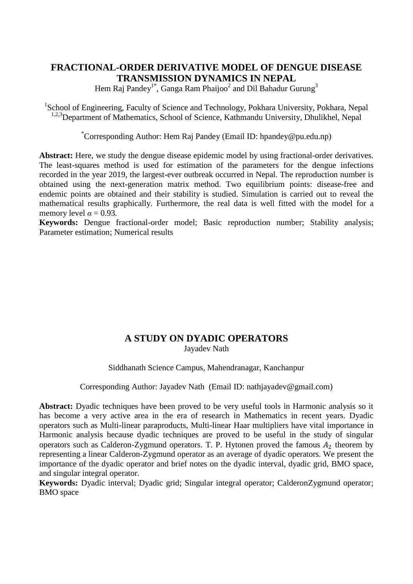## **FRACTIONAL-ORDER DERIVATIVE MODEL OF DENGUE DISEASE TRANSMISSION DYNAMICS IN NEPAL**

Hem Raj Pandey<sup>1\*</sup>, Ganga Ram Phaijoo<sup>2</sup> and Dil Bahadur Gurung<sup>3</sup>

<sup>1</sup>School of Engineering, Faculty of Science and Technology, Pokhara University, Pokhara, Nepal <sup>1,2,3</sup>Department of Mathematics, School of Science, Kathmandu University, Dhulikhel, Nepal

\*Corresponding Author: Hem Raj Pandey (Email ID: hpandey@pu.edu.np)

**Abstract:** Here, we study the dengue disease epidemic model by using fractional-order derivatives. The least-squares method is used for estimation of the parameters for the dengue infections recorded in the year 2019, the largest-ever outbreak occurred in Nepal. The reproduction number is obtained using the next-generation matrix method. Two equilibrium points: disease-free and endemic points are obtained and their stability is studied. Simulation is carried out to reveal the mathematical results graphically. Furthermore, the real data is well fitted with the model for a memory level  $\alpha = 0.93$ .

**Keywords:** Dengue fractional-order model; Basic reproduction number; Stability analysis; Parameter estimation; Numerical results

## **A STUDY ON DYADIC OPERATORS**

Jayadev Nath

Siddhanath Science Campus, Mahendranagar, Kanchanpur

Corresponding Author: Jayadev Nath (Email ID: nathjayadev@gmail.com)

**Abstract:** Dyadic techniques have been proved to be very useful tools in Harmonic analysis so it has become a very active area in the era of research in Mathematics in recent years. Dyadic operators such as Multi-linear paraproducts, Multi-linear Haar multipliers have vital importance in Harmonic analysis because dyadic techniques are proved to be useful in the study of singular operators such as Calderon-Zygmund operators. T. P. Hytonen proved the famous  $A_2$  theorem by representing a linear Calderon-Zygmund operator as an average of dyadic operators. We present the importance of the dyadic operator and brief notes on the dyadic interval, dyadic grid, BMO space, and singular integral operator.

**Keywords:** Dyadic interval; Dyadic grid; Singular integral operator; CalderonZygmund operator; BMO space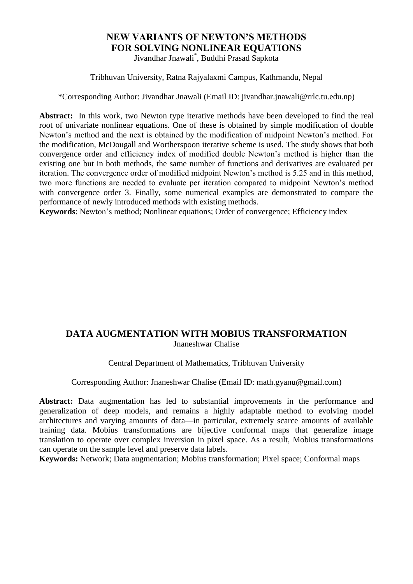# **NEW VARIANTS OF NEWTON'S METHODS FOR SOLVING NONLINEAR EQUATIONS**

Jivandhar Jnawali\* , Buddhi Prasad Sapkota

Tribhuvan University, Ratna Rajyalaxmi Campus, Kathmandu, Nepal

\*Corresponding Author: Jivandhar Jnawali (Email ID: jivandhar.jnawali@rrlc.tu.edu.np)

**Abstract:** In this work, two Newton type iterative methods have been developed to find the real root of univariate nonlinear equations. One of these is obtained by simple modification of double Newton's method and the next is obtained by the modification of midpoint Newton's method. For the modification, McDougall and Wortherspoon iterative scheme is used. The study shows that both convergence order and efficiency index of modified double Newton's method is higher than the existing one but in both methods, the same number of functions and derivatives are evaluated per iteration. The convergence order of modified midpoint Newton's method is 5.25 and in this method, two more functions are needed to evaluate per iteration compared to midpoint Newton's method with convergence order 3. Finally, some numerical examples are demonstrated to compare the performance of newly introduced methods with existing methods.

**Keywords**: Newton's method; Nonlinear equations; Order of convergence; Efficiency index

## **DATA AUGMENTATION WITH MOBIUS TRANSFORMATION** Jnaneshwar Chalise

Central Department of Mathematics, Tribhuvan University

Corresponding Author: Jnaneshwar Chalise (Email ID: math.gyanu@gmail.com)

**Abstract:** Data augmentation has led to substantial improvements in the performance and generalization of deep models, and remains a highly adaptable method to evolving model architectures and varying amounts of data—in particular, extremely scarce amounts of available training data. Mobius transformations are bijective conformal maps that generalize image translation to operate over complex inversion in pixel space. As a result, Mobius transformations can operate on the sample level and preserve data labels.

**Keywords:** Network; Data augmentation; Mobius transformation; Pixel space; Conformal maps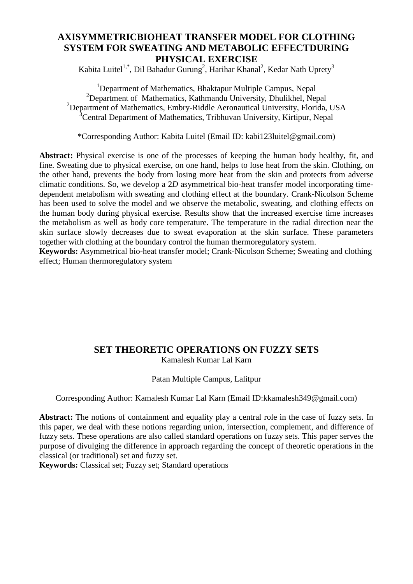## **AXISYMMETRICBIOHEAT TRANSFER MODEL FOR CLOTHING SYSTEM FOR SWEATING AND METABOLIC EFFECTDURING PHYSICAL EXERCISE**

Kabita Luitel<sup>1,\*</sup>, Dil Bahadur Gurung<sup>2</sup>, Harihar Khanal<sup>2</sup>, Kedar Nath Uprety<sup>3</sup>

<sup>1</sup>Department of Mathematics, Bhaktapur Multiple Campus, Nepal  $2$ Department of Mathematics, Kathmandu University, Dhulikhel, Nepal <sup>2</sup>Department of Mathematics, Embry-Riddle Aeronautical University, Florida, USA <sup>3</sup>Central Department of Mathematics, Tribhuvan University, Kirtipur, Nepal

\*Corresponding Author: Kabita Luitel (Email ID: kabi123luitel@gmail.com)

**Abstract:** Physical exercise is one of the processes of keeping the human body healthy, fit, and fine. Sweating due to physical exercise, on one hand, helps to lose heat from the skin. Clothing, on the other hand, prevents the body from losing more heat from the skin and protects from adverse climatic conditions. So, we develop a 2*D* asymmetrical bio-heat transfer model incorporating timedependent metabolism with sweating and clothing effect at the boundary. Crank-Nicolson Scheme has been used to solve the model and we observe the metabolic, sweating, and clothing effects on the human body during physical exercise. Results show that the increased exercise time increases the metabolism as well as body core temperature. The temperature in the radial direction near the skin surface slowly decreases due to sweat evaporation at the skin surface. These parameters together with clothing at the boundary control the human thermoregulatory system.

**Keywords:** Asymmetrical bio-heat transfer model; Crank-Nicolson Scheme; Sweating and clothing effect; Human thermoregulatory system

#### **SET THEORETIC OPERATIONS ON FUZZY SETS**

Kamalesh Kumar Lal Karn

#### Patan Multiple Campus, Lalitpur

Corresponding Author: Kamalesh Kumar Lal Karn (Email ID:kkamalesh349@gmail.com)

**Abstract:** The notions of containment and equality play a central role in the case of fuzzy sets. In this paper, we deal with these notions regarding union, intersection, complement, and difference of fuzzy sets. These operations are also called standard operations on fuzzy sets. This paper serves the purpose of divulging the difference in approach regarding the concept of theoretic operations in the classical (or traditional) set and fuzzy set.

**Keywords:** Classical set; Fuzzy set; Standard operations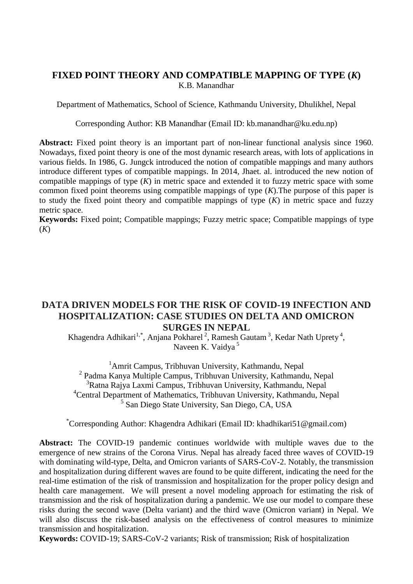#### **FIXED POINT THEORY AND COMPATIBLE MAPPING OF TYPE (***K***)** K.B. Manandhar

Department of Mathematics, School of Science, Kathmandu University, Dhulikhel, Nepal

Corresponding Author: KB Manandhar (Email ID: kb.manandhar@ku.edu.np)

**Abstract:** Fixed point theory is an important part of non-linear functional analysis since 1960. Nowadays, fixed point theory is one of the most dynamic research areas, with lots of applications in various fields. In 1986, G. Jungck introduced the notion of compatible mappings and many authors introduce different types of compatible mappings. In 2014, Jhaet. al. introduced the new notion of compatible mappings of type (*K*) in metric space and extended it to fuzzy metric space with some common fixed point theorems using compatible mappings of type (*K*).The purpose of this paper is to study the fixed point theory and compatible mappings of type (*K*) in metric space and fuzzy metric space.

**Keywords:** Fixed point: Compatible mappings: Fuzzy metric space: Compatible mappings of type (*K*)

### **DATA DRIVEN MODELS FOR THE RISK OF COVID-19 INFECTION AND HOSPITALIZATION: CASE STUDIES ON DELTA AND OMICRON SURGES IN NEPAL**

Khagendra Adhikari<sup>1,\*</sup>, Anjana Pokharel<sup>2</sup>, Ramesh Gautam<sup>3</sup>, Kedar Nath Uprety<sup>4</sup>, Naveen K. Vaidya<sup>5</sup>

<sup>1</sup>Amrit Campus, Tribhuvan University, Kathmandu, Nepal Padma Kanya Multiple Campus, Tribhuvan University, Kathmandu, Nepal Ratna Rajya Laxmi Campus, Tribhuvan University, Kathmandu, Nepal Central Department of Mathematics, Tribhuvan University, Kathmandu, Nepal San Diego State University, San Diego, CA, USA

\*Corresponding Author: Khagendra Adhikari (Email ID: khadhikari51@gmail.com)

**Abstract:** The COVID-19 pandemic continues worldwide with multiple waves due to the emergence of new strains of the Corona Virus. Nepal has already faced three waves of COVID-19 with dominating wild-type, Delta, and Omicron variants of SARS-CoV-2. Notably, the transmission and hospitalization during different waves are found to be quite different, indicating the need for the real-time estimation of the risk of transmission and hospitalization for the proper policy design and health care management. We will present a novel modeling approach for estimating the risk of transmission and the risk of hospitalization during a pandemic. We use our model to compare these risks during the second wave (Delta variant) and the third wave (Omicron variant) in Nepal. We will also discuss the risk-based analysis on the effectiveness of control measures to minimize transmission and hospitalization.

**Keywords:** COVID-19; SARS-CoV-2 variants; Risk of transmission; Risk of hospitalization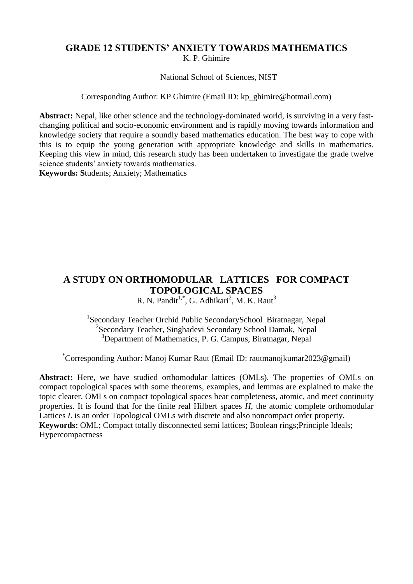#### **GRADE 12 STUDENTS' ANXIETY TOWARDS MATHEMATICS** K. P. Ghimire

National School of Sciences, NIST

Corresponding Author: KP Ghimire (Email ID: kp\_ghimire@hotmail.com)

**Abstract:** Nepal, like other science and the technology-dominated world, is surviving in a very fastchanging political and socio-economic environment and is rapidly moving towards information and knowledge society that require a soundly based mathematics education. The best way to cope with this is to equip the young generation with appropriate knowledge and skills in mathematics. Keeping this view in mind, this research study has been undertaken to investigate the grade twelve science students' anxiety towards mathematics.

**Keywords: S**tudents; Anxiety; Mathematics

## **A STUDY ON ORTHOMODULAR LATTICES FOR COMPACT TOPOLOGICAL SPACES**

R. N. Pandit<sup>1,\*</sup>, G. Adhikari<sup>2</sup>, M. K. Raut<sup>3</sup>

<sup>1</sup>Secondary Teacher Orchid Public SecondarySchool Biratnagar, Nepal <sup>2</sup> Secondary Teacher, Singhadevi Secondary School Damak, Nepal <sup>3</sup>Department of Mathematics, P. G. Campus, Biratnagar, Nepal

\*Corresponding Author: Manoj Kumar Raut (Email ID: rautmanojkumar2023@gmail)

**Abstract:** Here, we have studied orthomodular lattices (OMLs). The properties of OMLs on compact topological spaces with some theorems, examples, and lemmas are explained to make the topic clearer. OMLs on compact topological spaces bear completeness, atomic, and meet continuity properties. It is found that for the finite real Hilbert spaces *H*, the atomic complete orthomodular Lattices *L* is an order Topological OMLs with discrete and also noncompact order property. **Keywords:** OML; Compact totally disconnected semi lattices; Boolean rings;Principle Ideals; **Hypercompactness**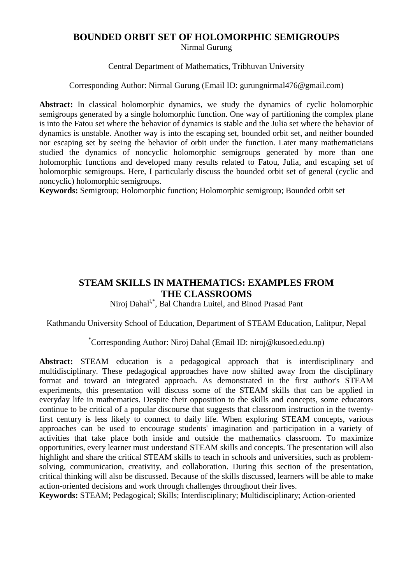## **BOUNDED ORBIT SET OF HOLOMORPHIC SEMIGROUPS**

Nirmal Gurung

Central Department of Mathematics, Tribhuvan University

Corresponding Author: Nirmal Gurung (Email ID: gurungnirmal476@gmail.com)

**Abstract:** In classical holomorphic dynamics, we study the dynamics of cyclic holomorphic semigroups generated by a single holomorphic function. One way of partitioning the complex plane is into the Fatou set where the behavior of dynamics is stable and the Julia set where the behavior of dynamics is unstable. Another way is into the escaping set, bounded orbit set, and neither bounded nor escaping set by seeing the behavior of orbit under the function. Later many mathematicians studied the dynamics of noncyclic holomorphic semigroups generated by more than one holomorphic functions and developed many results related to Fatou, Julia, and escaping set of holomorphic semigroups. Here, I particularly discuss the bounded orbit set of general (cyclic and noncyclic) holomorphic semigroups.

**Keywords:** Semigroup; Holomorphic function; Holomorphic semigroup; Bounded orbit set

## **STEAM SKILLS IN MATHEMATICS: EXAMPLES FROM THE CLASSROOMS**

Niroj Dahal<sup>l,\*</sup>, Bal Chandra Luitel, and Binod Prasad Pant

Kathmandu University School of Education, Department of STEAM Education, Lalitpur, Nepal

\*Corresponding Author: Niroj Dahal (Email ID: niroj@kusoed.edu.np)

**Abstract:** STEAM education is a pedagogical approach that is interdisciplinary and multidisciplinary. These pedagogical approaches have now shifted away from the disciplinary format and toward an integrated approach. As demonstrated in the first author's STEAM experiments, this presentation will discuss some of the STEAM skills that can be applied in everyday life in mathematics. Despite their opposition to the skills and concepts, some educators continue to be critical of a popular discourse that suggests that classroom instruction in the twentyfirst century is less likely to connect to daily life. When exploring STEAM concepts, various approaches can be used to encourage students' imagination and participation in a variety of activities that take place both inside and outside the mathematics classroom. To maximize opportunities, every learner must understand STEAM skills and concepts. The presentation will also highlight and share the critical STEAM skills to teach in schools and universities, such as problemsolving, communication, creativity, and collaboration. During this section of the presentation, critical thinking will also be discussed. Because of the skills discussed, learners will be able to make action-oriented decisions and work through challenges throughout their lives.

**Keywords:** STEAM; Pedagogical; Skills; Interdisciplinary; Multidisciplinary; Action-oriented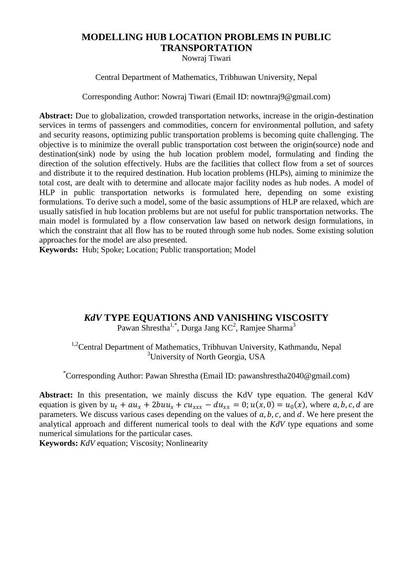# **MODELLING HUB LOCATION PROBLEMS IN PUBLIC TRANSPORTATION**

Nowraj Tiwari

Central Department of Mathematics, Tribhuwan University, Nepal

Corresponding Author: Nowraj Tiwari (Email ID: nowtnraj9@gmail.com)

**Abstract:** Due to globalization, crowded transportation networks, increase in the origin-destination services in terms of passengers and commodities, concern for environmental pollution, and safety and security reasons, optimizing public transportation problems is becoming quite challenging. The objective is to minimize the overall public transportation cost between the origin(source) node and destination(sink) node by using the hub location problem model, formulating and finding the direction of the solution effectively. Hubs are the facilities that collect flow from a set of sources and distribute it to the required destination. Hub location problems (HLPs), aiming to minimize the total cost, are dealt with to determine and allocate major facility nodes as hub nodes. A model of HLP in public transportation networks is formulated here, depending on some existing formulations. To derive such a model, some of the basic assumptions of HLP are relaxed, which are usually satisfied in hub location problems but are not useful for public transportation networks. The main model is formulated by a flow conservation law based on network design formulations, in which the constraint that all flow has to be routed through some hub nodes. Some existing solution approaches for the model are also presented.

**Keywords:** Hub; Spoke; Location; Public transportation; Model

#### *KdV* **TYPE EQUATIONS AND VANISHING VISCOSITY**

Pawan Shrestha<sup>1,\*</sup>, Durga Jang KC<sup>2</sup>, Ramjee Sharma<sup>3</sup>

<sup>1,2</sup>Central Department of Mathematics, Tribhuvan University, Kathmandu, Nepal <sup>3</sup>University of North Georgia, USA

\*Corresponding Author: Pawan Shrestha (Email ID: pawanshrestha2040@gmail.com)

**Abstract:** In this presentation, we mainly discuss the KdV type equation. The general KdV equation is given by  $u_t + au_x + 2bu_x + cu_{xxx} - du_{xx} = 0$ ;  $u(x, 0) = u_0(x)$ , where a, b, c, d are parameters. We discuss various cases depending on the values of  $a, b, c$ , and  $d$ . We here present the analytical approach and different numerical tools to deal with the *KdV* type equations and some numerical simulations for the particular cases.

**Keywords:** *KdV* equation; Viscosity; Nonlinearity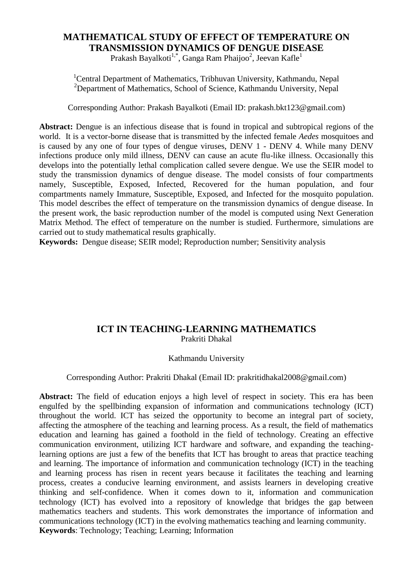## **MATHEMATICAL STUDY OF EFFECT OF TEMPERATURE ON TRANSMISSION DYNAMICS OF DENGUE DISEASE**

Prakash Bayalkoti<sup>1,\*</sup>, Ganga Ram Phaijoo<sup>2</sup>, Jeevan Kafle<sup>1</sup>

<sup>1</sup>Central Department of Mathematics, Tribhuvan University, Kathmandu, Nepal <sup>2</sup>Department of Mathematics, School of Science, Kathmandu University, Nepal

Corresponding Author: Prakash Bayalkoti (Email ID: prakash.bkt123@gmail.com)

**Abstract:** Dengue is an infectious disease that is found in tropical and subtropical regions of the world. It is a vector-borne disease that is transmitted by the infected female *Aedes* mosquitoes and is caused by any one of four types of dengue viruses, DENV 1 - DENV 4. While many DENV infections produce only mild illness, DENV can cause an acute flu-like illness. Occasionally this develops into the potentially lethal complication called severe dengue. We use the SEIR model to study the transmission dynamics of dengue disease. The model consists of four compartments namely, Susceptible, Exposed, Infected, Recovered for the human population, and four compartments namely Immature, Susceptible, Exposed, and Infected for the mosquito population. This model describes the effect of temperature on the transmission dynamics of dengue disease. In the present work, the basic reproduction number of the model is computed using Next Generation Matrix Method. The effect of temperature on the number is studied. Furthermore, simulations are carried out to study mathematical results graphically.

**Keywords:** Dengue disease; SEIR model; Reproduction number; Sensitivity analysis

#### **ICT IN TEACHING-LEARNING MATHEMATICS** Prakriti Dhakal

#### Kathmandu University

Corresponding Author: Prakriti Dhakal (Email ID: prakritidhakal2008@gmail.com)

**Abstract:** The field of education enjoys a high level of respect in society. This era has been engulfed by the spellbinding expansion of information and communications technology (ICT) throughout the world. ICT has seized the opportunity to become an integral part of society, affecting the atmosphere of the teaching and learning process. As a result, the field of mathematics education and learning has gained a foothold in the field of technology. Creating an effective communication environment, utilizing ICT hardware and software, and expanding the teachinglearning options are just a few of the benefits that ICT has brought to areas that practice teaching and learning. The importance of information and communication technology (ICT) in the teaching and learning process has risen in recent years because it facilitates the teaching and learning process, creates a conducive learning environment, and assists learners in developing creative thinking and self-confidence. When it comes down to it, information and communication technology (ICT) has evolved into a repository of knowledge that bridges the gap between mathematics teachers and students. This work demonstrates the importance of information and communications technology (ICT) in the evolving mathematics teaching and learning community. **Keywords**: Technology; Teaching; Learning; Information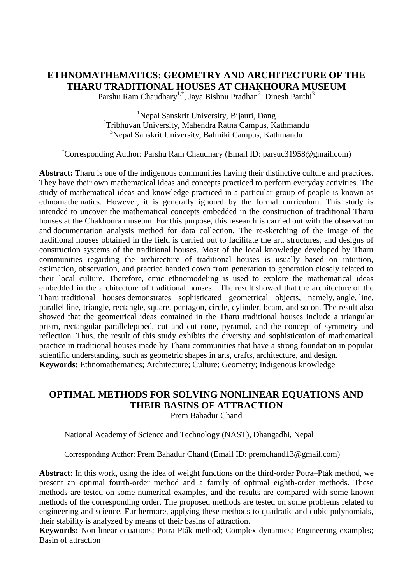# **ETHNOMATHEMATICS: GEOMETRY AND ARCHITECTURE OF THE THARU TRADITIONAL HOUSES AT CHAKHOURA MUSEUM**

Parshu Ram Chaudhary<sup>1,\*</sup>, Jaya Bishnu Pradhan<sup>2</sup>, Dinesh Panthi<sup>3</sup>

<sup>1</sup>Nepal Sanskrit University, Bijauri, Dang 2 Tribhuvan University, Mahendra Ratna Campus, Kathmandu <sup>3</sup>Nepal Sanskrit University, Balmiki Campus, Kathmandu

\*Corresponding Author: Parshu Ram Chaudhary (Email ID: parsuc31958@gmail.com)

**Abstract:** Tharu is one of the indigenous communities having their distinctive culture and practices. They have their own mathematical ideas and concepts practiced to perform everyday activities. The study of mathematical ideas and knowledge practiced in a particular group of people is known as ethnomathematics. However, it is generally ignored by the formal curriculum. This study is intended to uncover the mathematical concepts embedded in the construction of traditional Tharu houses at the Chakhoura museum. For this purpose, this research is carried out with the observation and documentation analysis method for data collection. The re-sketching of the image of the traditional houses obtained in the field is carried out to facilitate the art, structures, and designs of construction systems of the traditional houses. Most of the local knowledge developed by Tharu communities regarding the architecture of traditional houses is usually based on intuition, estimation, observation, and practice handed down from generation to generation closely related to their local culture. Therefore, emic ethnomodeling is used to explore the mathematical ideas embedded in the architecture of traditional houses. The result showed that the architecture of the Tharu traditional houses demonstrates sophisticated geometrical objects, namely, angle, line, parallel line, triangle, rectangle, square, pentagon, circle, cylinder, beam, and so on. The result also showed that the geometrical ideas contained in the Tharu traditional houses include a triangular prism, rectangular parallelepiped, cut and cut cone, pyramid, and the concept of symmetry and reflection. Thus, the result of this study exhibits the diversity and sophistication of mathematical practice in traditional houses made by Tharu communities that have a strong foundation in popular scientific understanding, such as geometric shapes in arts, crafts, architecture, and design. **Keywords:** Ethnomathematics; Architecture; Culture; Geometry; Indigenous knowledge

# **OPTIMAL METHODS FOR SOLVING NONLINEAR EQUATIONS AND THEIR BASINS OF ATTRACTION**

Prem Bahadur Chand

National Academy of Science and Technology (NAST), Dhangadhi, Nepal

Corresponding Author: Prem Bahadur Chand (Email ID: premchand13@gmail.com)

**Abstract:** In this work, using the idea of weight functions on the third-order Potra–Pták method, we present an optimal fourth-order method and a family of optimal eighth-order methods. These methods are tested on some numerical examples, and the results are compared with some known methods of the corresponding order. The proposed methods are tested on some problems related to engineering and science. Furthermore, applying these methods to quadratic and cubic polynomials, their stability is analyzed by means of their basins of attraction.

**Keywords:** Non-linear equations; Potra-Pták method; Complex dynamics; Engineering examples; Basin of attraction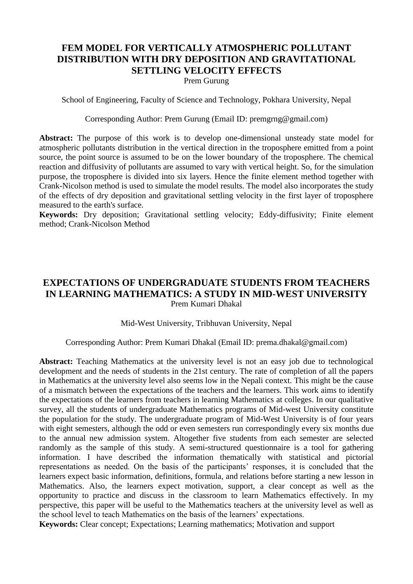## **FEM MODEL FOR VERTICALLY ATMOSPHERIC POLLUTANT DISTRIBUTION WITH DRY DEPOSITION AND GRAVITATIONAL SETTLING VELOCITY EFFECTS**

Prem Gurung

School of Engineering, Faculty of Science and Technology, Pokhara University, Nepal

Corresponding Author: Prem Gurung (Email ID: premgrng@gmail.com)

**Abstract:** The purpose of this work is to develop one-dimensional unsteady state model for atmospheric pollutants distribution in the vertical direction in the troposphere emitted from a point source, the point source is assumed to be on the lower boundary of the troposphere. The chemical reaction and diffusivity of pollutants are assumed to vary with vertical height. So, for the simulation purpose, the troposphere is divided into six layers. Hence the finite element method together with Crank-Nicolson method is used to simulate the model results. The model also incorporates the study of the effects of dry deposition and gravitational settling velocity in the first layer of troposphere measured to the earth's surface.

**Keywords:** Dry deposition; Gravitational settling velocity; Eddy-diffusivity; Finite element method; Crank-Nicolson Method

## **EXPECTATIONS OF UNDERGRADUATE STUDENTS FROM TEACHERS IN LEARNING MATHEMATICS: A STUDY IN MID-WEST UNIVERSITY** Prem Kumari Dhakal

#### Mid-West University, Tribhuvan University, Nepal

#### Corresponding Author: Prem Kumari Dhakal (Email ID: prema.dhakal@gmail.com)

**Abstract:** Teaching Mathematics at the university level is not an easy job due to technological development and the needs of students in the 21st century. The rate of completion of all the papers in Mathematics at the university level also seems low in the Nepali context. This might be the cause of a mismatch between the expectations of the teachers and the learners. This work aims to identify the expectations of the learners from teachers in learning Mathematics at colleges. In our qualitative survey, all the students of undergraduate Mathematics programs of Mid-west University constitute the population for the study. The undergraduate program of Mid-West University is of four years with eight semesters, although the odd or even semesters run correspondingly every six months due to the annual new admission system. Altogether five students from each semester are selected randomly as the sample of this study. A semi-structured questionnaire is a tool for gathering information. I have described the information thematically with statistical and pictorial representations as needed. On the basis of the participants' responses, it is concluded that the learners expect basic information, definitions, formula, and relations before starting a new lesson in Mathematics. Also, the learners expect motivation, support, a clear concept as well as the opportunity to practice and discuss in the classroom to learn Mathematics effectively. In my perspective, this paper will be useful to the Mathematics teachers at the university level as well as the school level to teach Mathematics on the basis of the learners' expectations.

**Keywords:** Clear concept; Expectations; Learning mathematics; Motivation and support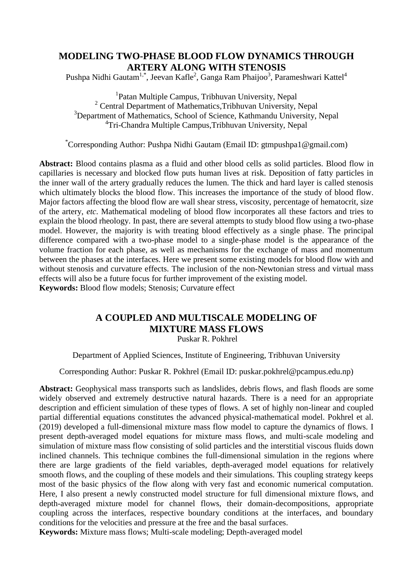## **MODELING TWO-PHASE BLOOD FLOW DYNAMICS THROUGH ARTERY ALONG WITH STENOSIS**

Pushpa Nidhi Gautam<sup>1,\*</sup>, Jeevan Kafle<sup>2</sup>, Ganga Ram Phaijoo<sup>3</sup>, Parameshwari Kattel<sup>4</sup>

<sup>1</sup>Patan Multiple Campus, Tribhuvan University, Nepal <sup>2</sup> Central Department of Mathematics, Tribhuvan University, Nepal <sup>3</sup>Department of Mathematics, School of Science, Kathmandu University, Nepal 4 Tri-Chandra Multiple Campus,Tribhuvan University, Nepal

\*Corresponding Author: Pushpa Nidhi Gautam (Email ID: gtmpushpa1@gmail.com)

**Abstract:** Blood contains plasma as a fluid and other blood cells as solid particles. Blood flow in capillaries is necessary and blocked flow puts human lives at risk. Deposition of fatty particles in the inner wall of the artery gradually reduces the lumen. The thick and hard layer is called stenosis which ultimately blocks the blood flow. This increases the importance of the study of blood flow. Major factors affecting the blood flow are wall shear stress, viscosity, percentage of hematocrit, size of the artery, *etc*. Mathematical modeling of blood flow incorporates all these factors and tries to explain the blood rheology. In past, there are several attempts to study blood flow using a two-phase model. However, the majority is with treating blood effectively as a single phase. The principal difference compared with a two-phase model to a single-phase model is the appearance of the volume fraction for each phase, as well as mechanisms for the exchange of mass and momentum between the phases at the interfaces. Here we present some existing models for blood flow with and without stenosis and curvature effects. The inclusion of the non-Newtonian stress and virtual mass effects will also be a future focus for further improvement of the existing model. **Keywords:** Blood flow models; Stenosis; Curvature effect

# **A COUPLED AND MULTISCALE MODELING OF MIXTURE MASS FLOWS**

Puskar R. Pokhrel

Department of Applied Sciences, Institute of Engineering, Tribhuvan University

Corresponding Author: Puskar R. Pokhrel (Email ID: puskar.pokhrel@pcampus.edu.np)

**Abstract:** Geophysical mass transports such as landslides, debris flows, and flash floods are some widely observed and extremely destructive natural hazards. There is a need for an appropriate description and efficient simulation of these types of flows. A set of highly non-linear and coupled partial differential equations constitutes the advanced physical-mathematical model. Pokhrel et al. (2019) developed a full-dimensional mixture mass flow model to capture the dynamics of flows. I present depth-averaged model equations for mixture mass flows, and multi-scale modeling and simulation of mixture mass flow consisting of solid particles and the interstitial viscous fluids down inclined channels. This technique combines the full-dimensional simulation in the regions where there are large gradients of the field variables, depth-averaged model equations for relatively smooth flows, and the coupling of these models and their simulations. This coupling strategy keeps most of the basic physics of the flow along with very fast and economic numerical computation. Here, I also present a newly constructed model structure for full dimensional mixture flows, and depth-averaged mixture model for channel flows, their domain-decompositions, appropriate coupling across the interfaces, respective boundary conditions at the interfaces, and boundary conditions for the velocities and pressure at the free and the basal surfaces.

**Keywords:** Mixture mass flows; Multi-scale modeling; Depth-averaged model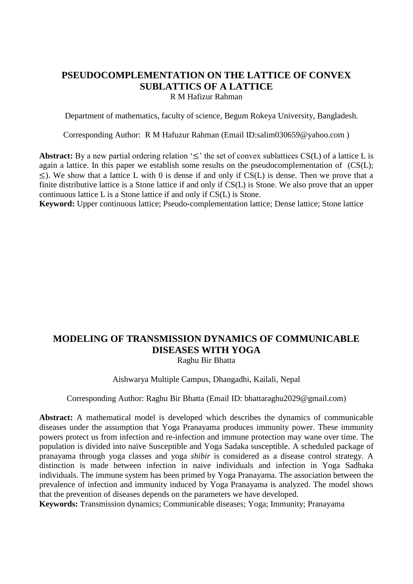## **PSEUDOCOMPLEMENTATION ON THE LATTICE OF CONVEX SUBLATTICS OF A LATTICE**

R M Hafizur Rahman

Department of mathematics, faculty of science, Begum Rokeya University, Bangladesh.

Corresponding Author: R M Hafuzur Rahman (Email ID[:salim030659@yahoo.com](mailto:salim030659@yahoo.com) )

**Abstract:** By a new partial ordering relation  $\leq$  the set of convex sublattices CS(L) of a lattice L is again a lattice. In this paper we establish some results on the pseudocomplementation of (CS(L);  $\leq$ ). We show that a lattice L with 0 is dense if and only if CS(L) is dense. Then we prove that a finite distributive lattice is a Stone lattice if and only if CS(L) is Stone. We also prove that an upper continuous lattice L is a Stone lattice if and only if CS(L) is Stone.

**Keyword:** Upper continuous lattice; Pseudo-complementation lattice; Dense lattice; Stone lattice

## **MODELING OF TRANSMISSION DYNAMICS OF COMMUNICABLE DISEASES WITH YOGA**

Raghu Bir Bhatta

#### Aishwarya Multiple Campus, Dhangadhi, Kailali, Nepal

#### Corresponding Author: Raghu Bir Bhatta (Email ID: [bhattaraghu2029@gmail.com\)](mailto:bhattaraghu2029@gmail.com)

**Abstract:** A mathematical model is developed which describes the dynamics of communicable diseases under the assumption that Yoga Pranayama produces immunity power. These immunity powers protect us from infection and re-infection and immune protection may wane over time. The population is divided into naïve Susceptible and Yoga Sadaka susceptible. A scheduled package of pranayama through yoga classes and yoga *shibir* is considered as a disease control strategy. A distinction is made between infection in naive individuals and infection in Yoga Sadhaka individuals. The immune system has been primed by Yoga Pranayama. The association between the prevalence of infection and immunity induced by Yoga Pranayama is analyzed. The model shows that the prevention of diseases depends on the parameters we have developed.

**Keywords:** Transmission dynamics; Communicable diseases; Yoga; Immunity; Pranayama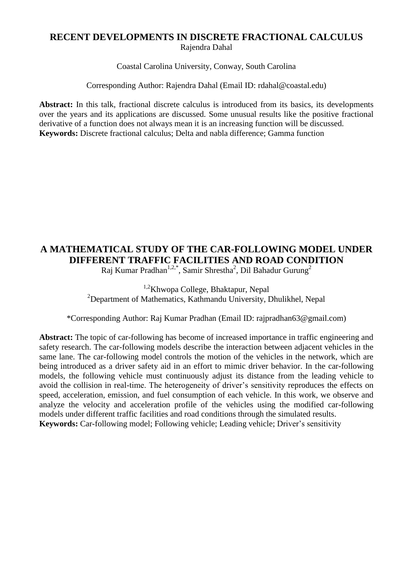#### **RECENT DEVELOPMENTS IN DISCRETE FRACTIONAL CALCULUS** Rajendra Dahal

Coastal Carolina University, Conway, South Carolina

Corresponding Author: Rajendra Dahal (Email ID: rdahal@coastal.edu)

**Abstract:** In this talk, fractional discrete calculus is introduced from its basics, its developments over the years and its applications are discussed. Some unusual results like the positive fractional derivative of a function does not always mean it is an increasing function will be discussed. **Keywords:** Discrete fractional calculus; Delta and nabla difference; Gamma function

# **A MATHEMATICAL STUDY OF THE CAR-FOLLOWING MODEL UNDER DIFFERENT TRAFFIC FACILITIES AND ROAD CONDITION**

Raj Kumar Pradhan $^{1,2,*}$ , Samir Shrestha $^2$ , Dil Bahadur Gurung $^2$ 

1,2Khwopa College, Bhaktapur, Nepal <sup>2</sup>Department of Mathematics, Kathmandu University, Dhulikhel, Nepal

\*Corresponding Author: Raj Kumar Pradhan (Email ID: rajpradhan63@gmail.com)

**Abstract:** The topic of car-following has become of increased importance in traffic engineering and safety research. The car-following models describe the interaction between adjacent vehicles in the same lane. The car-following model controls the motion of the vehicles in the network, which are being introduced as a driver safety aid in an effort to mimic driver behavior. In the car-following models, the following vehicle must continuously adjust its distance from the leading vehicle to avoid the collision in real-time. The heterogeneity of driver's sensitivity reproduces the effects on speed, acceleration, emission, and fuel consumption of each vehicle. In this work, we observe and analyze the velocity and acceleration profile of the vehicles using the modified car-following models under different traffic facilities and road conditions through the simulated results.

**Keywords:** Car-following model; Following vehicle; Leading vehicle; Driver's sensitivity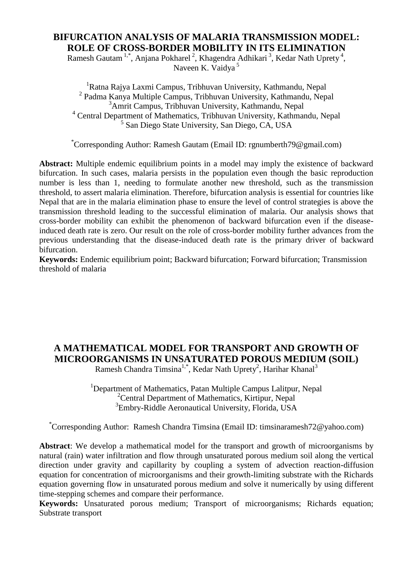## **BIFURCATION ANALYSIS OF MALARIA TRANSMISSION MODEL: ROLE OF CROSS-BORDER MOBILITY IN ITS ELIMINATION**

Ramesh Gautam<sup>1,\*</sup>, Anjana Pokharel<sup>2</sup>, Khagendra Adhikari<sup>3</sup>, Kedar Nath Uprety<sup>4</sup>, Naveen K. Vaidya<sup>5</sup>

<sup>1</sup>Ratna Rajya Laxmi Campus, Tribhuvan University, Kathmandu, Nepal <sup>2</sup> Padma Kanya Multiple Campus, Tribhuvan University, Kathmandu, Nepal <sup>3</sup>Amrit Campus, Tribhuvan University, Kathmandu, Nepal <sup>4</sup> Central Department of Mathematics, Tribhuvan University, Kathmandu, Nepal 5 San Diego State University, San Diego, CA, USA

\*Corresponding Author: Ramesh Gautam (Email ID: rgnumberth79@gmail.com)

**Abstract:** Multiple endemic equilibrium points in a model may imply the existence of backward bifurcation. In such cases, malaria persists in the population even though the basic reproduction number is less than 1, needing to formulate another new threshold, such as the transmission threshold, to assert malaria elimination. Therefore, bifurcation analysis is essential for countries like Nepal that are in the malaria elimination phase to ensure the level of control strategies is above the transmission threshold leading to the successful elimination of malaria. Our analysis shows that cross-border mobility can exhibit the phenomenon of backward bifurcation even if the diseaseinduced death rate is zero. Our result on the role of cross-border mobility further advances from the previous understanding that the disease-induced death rate is the primary driver of backward bifurcation.

**Keywords:** Endemic equilibrium point; Backward bifurcation; Forward bifurcation; Transmission threshold of malaria

# **A MATHEMATICAL MODEL FOR TRANSPORT AND GROWTH OF MICROORGANISMS IN UNSATURATED POROUS MEDIUM (SOIL)**

Ramesh Chandra Timsina<sup>1,\*</sup>, Kedar Nath Uprety<sup>2</sup>, Harihar Khanal<sup>3</sup>

<sup>1</sup>Department of Mathematics, Patan Multiple Campus Lalitpur, Nepal  $2^2$ Central Department of Mathematics, Kirtipur, Nepal <sup>3</sup>Embry-Riddle Aeronautical University, Florida, USA

\*Corresponding Author: Ramesh Chandra Timsina (Email ID: timsinaramesh72@yahoo.com)

**Abstract**: We develop a mathematical model for the transport and growth of microorganisms by natural (rain) water infiltration and flow through unsaturated porous medium soil along the vertical direction under gravity and capillarity by coupling a system of advection reaction-diffusion equation for concentration of microorganisms and their growth-limiting substrate with the Richards equation governing flow in unsaturated porous medium and solve it numerically by using different time-stepping schemes and compare their performance.

**Keywords:** Unsaturated porous medium; Transport of microorganisms; Richards equation; Substrate transport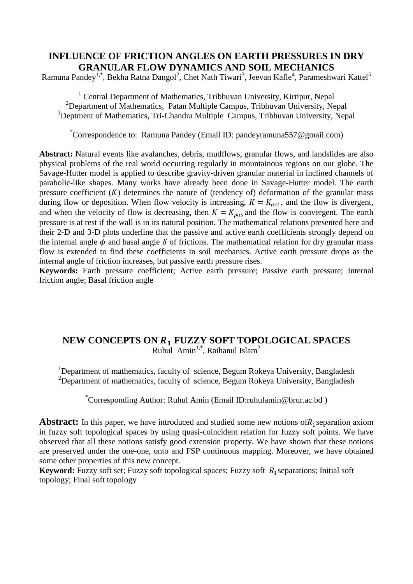## **INFLUENCE OF FRICTION ANGLES ON EARTH PRESSURES IN DRY GRANULAR FLOW DYNAMICS AND SOIL MECHANICS**

Ramuna Pandey<sup>1,\*</sup>, Bekha Ratna Dangol<sup>2</sup>, Chet Nath Tiwari<sup>3</sup>, Jeevan Kafle<sup>4</sup>, Parameshwari Kattel<sup>5</sup>

<sup>1</sup> Central Department of Mathematics, Tribhuvan University, Kirtipur, Nepal <sup>2</sup>Department of Mathematics, Patan Multiple Campus, Tribhuvan University, Nepal <sup>3</sup>Deptment of Mathematics, Tri-Chandra Multiple Campus, Tribhuvan University, Nepal

\*Correspondence to: Ramuna Pandey (Email ID: pandeyramuna557@gmail.com)

**Abstract:** Natural events like avalanches, debris, mudflows, granular flows, and landslides are also physical problems of the real world occurring regularly in mountainous regions on our globe. The Savage-Hutter model is applied to describe gravity-driven granular material in inclined channels of parabolic-like shapes. Many works have already been done in Savage-Hutter model. The earth pressure coefficient  $(K)$  determines the nature of (tendency of) deformation of the granular mass during flow or deposition. When flow velocity is increasing,  $K = K_{act}$ , and the flow is divergent, and when the velocity of flow is decreasing, then  $K = K_{pas}$  and the flow is convergent. The earth pressure is at rest if the wall is in its natural position. The mathematical relations presented here and their 2-D and 3-D plots underline that the passive and active earth coefficients strongly depend on the internal angle  $\phi$  and basal angle  $\delta$  of frictions. The mathematical relation for dry granular mass flow is extended to find these coefficients in soil mechanics. Active earth pressure drops as the internal angle of friction increases, but passive earth pressure rises.

**Keywords:** Earth pressure coefficient; Active earth pressure; Passive earth pressure; Internal friction angle; Basal friction angle

#### **NEW CONCEPTS ON FUZZY SOFT TOPOLOGICAL SPACES** Ruhul Amin<sup>1,\*</sup>, Raihanul Islam<sup>2</sup>

<sup>1</sup>Department of mathematics, faculty of science, Begum Rokeya University, Bangladesh <sup>2</sup>Department of mathematics, faculty of science, Begum Rokeya University, Bangladesh

\*Corresponding Author: Ruhul Amin (Email ID:ruhulamin@brur.ac.bd )

Abstract: In this paper, we have introduced and studied some new notions of R<sub>1</sub> separation axiom in fuzzy soft topological spaces by using quasi-coincident relation for fuzzy soft points. We have observed that all these notions satisfy good extension property. We have shown that these notions are preserved under the one-one, onto and FSP continuous mapping. Moreover, we have obtained some other properties of this new concept.

Keyword: Fuzzy soft set; Fuzzy soft topological spaces; Fuzzy soft R<sub>1</sub> separations; Initial soft topology; Final soft topology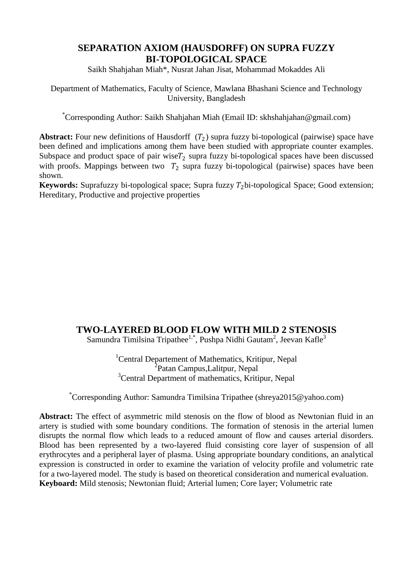#### **SEPARATION AXIOM (HAUSDORFF) ON SUPRA FUZZY BI-TOPOLOGICAL SPACE**

Saikh Shahjahan Miah\*, Nusrat Jahan Jisat, Mohammad Mokaddes Ali

Department of Mathematics, Faculty of Science, Mawlana Bhashani Science and Technology University, Bangladesh

\*Corresponding Author: Saikh Shahjahan Miah (Email ID: skhshahjahan@gmail.com)

**Abstract:** Four new definitions of Hausdorff  $(T_2)$  supra fuzzy bi-topological (pairwise) space have been defined and implications among them have been studied with appropriate counter examples. Subspace and product space of pair wise $T_2$  supra fuzzy bi-topological spaces have been discussed with proofs. Mappings between two  $T_2$  supra fuzzy bi-topological (pairwise) spaces have been shown.

**Keywords:** Suprafuzzy bi-topological space; Supra fuzzy  $T_2$  bi-topological Space; Good extension; Hereditary, Productive and projective properties

# **TWO-LAYERED BLOOD FLOW WITH MILD 2 STENOSIS**

Samundra Timilsina Tripathee<sup>1,\*</sup>, Pushpa Nidhi Gautam<sup>2</sup>, Jeevan Kafle<sup>3</sup>

<sup>1</sup>Central Departement of Mathematics, Kritipur, Nepal <sup>2</sup>Patan Campus,Lalitpur, Nepal <sup>3</sup>Central Department of mathematics, Kritipur, Nepal

\*Corresponding Author: Samundra Timilsina Tripathee (shreya2015@yahoo.com)

**Abstract:** The effect of asymmetric mild stenosis on the flow of blood as Newtonian fluid in an artery is studied with some boundary conditions. The formation of stenosis in the arterial lumen disrupts the normal flow which leads to a reduced amount of flow and causes arterial disorders. Blood has been represented by a two-layered fluid consisting core layer of suspension of all erythrocytes and a peripheral layer of plasma. Using appropriate boundary conditions, an analytical expression is constructed in order to examine the variation of velocity profile and volumetric rate for a two-layered model. The study is based on theoretical consideration and numerical evaluation. **Keyboard:** Mild stenosis; Newtonian fluid; Arterial lumen; Core layer; Volumetric rate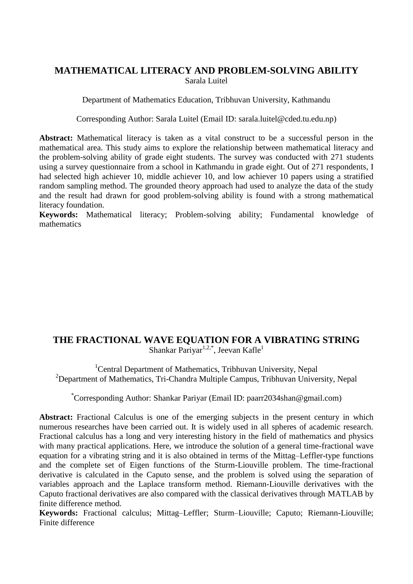#### **MATHEMATICAL LITERACY AND PROBLEM-SOLVING ABILITY** Sarala Luitel

Department of Mathematics Education, Tribhuvan University, Kathmandu

Corresponding Author: Sarala Luitel (Email ID: sarala.luitel@cded.tu.edu.np)

**Abstract:** Mathematical literacy is taken as a vital construct to be a successful person in the mathematical area. This study aims to explore the relationship between mathematical literacy and the problem-solving ability of grade eight students. The survey was conducted with 271 students using a survey questionnaire from a school in Kathmandu in grade eight. Out of 271 respondents, I had selected high achiever 10, middle achiever 10, and low achiever 10 papers using a stratified random sampling method. The grounded theory approach had used to analyze the data of the study and the result had drawn for good problem-solving ability is found with a strong mathematical literacy foundation.

**Keywords:** Mathematical literacy; Problem-solving ability; Fundamental knowledge of mathematics

#### **THE FRACTIONAL WAVE EQUATION FOR A VIBRATING STRING** Shankar Pariyar<sup>1,2,\*</sup>, Jeevan Kafle<sup>1</sup>

<sup>1</sup>Central Department of Mathematics, Tribhuvan University, Nepal <sup>2</sup>Department of Mathematics, Tri-Chandra Multiple Campus, Tribhuvan University, Nepal

\*Corresponding Author: Shankar Pariyar (Email ID: paarr2034shan@gmail.com)

Abstract: Fractional Calculus is one of the emerging subjects in the present century in which numerous researches have been carried out. It is widely used in all spheres of academic research. Fractional calculus has a long and very interesting history in the field of mathematics and physics with many practical applications. Here, we introduce the solution of a general time-fractional wave equation for a vibrating string and it is also obtained in terms of the Mittag–Leffler-type functions and the complete set of Eigen functions of the Sturm-Liouville problem. The time-fractional derivative is calculated in the Caputo sense, and the problem is solved using the separation of variables approach and the Laplace transform method. Riemann-Liouville derivatives with the Caputo fractional derivatives are also compared with the classical derivatives through MATLAB by finite difference method.

**Keywords:** Fractional calculus; Mittag–Leffler; Sturm–Liouville; Caputo; Riemann-Liouville; Finite difference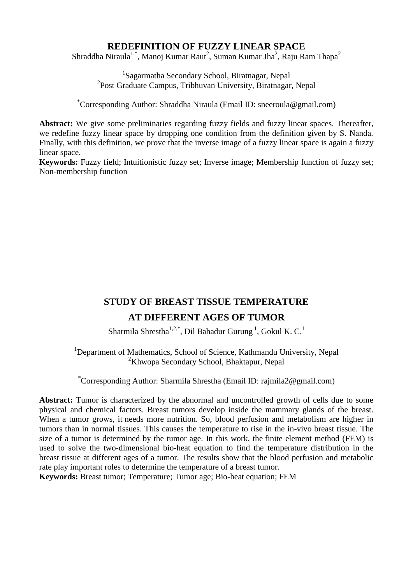#### **REDEFINITION OF FUZZY LINEAR SPACE**

Shraddha Niraula<sup>1,\*</sup>, Manoj Kumar Raut<sup>2</sup>, Suman Kumar Jha<sup>2</sup>, Raju Ram Thapa<sup>2</sup>

<sup>1</sup>Sagarmatha Secondary School, Biratnagar, Nepal <sup>2</sup>Post Graduate Campus, Tribhuvan University, Biratnagar, Nepal

\*Corresponding Author: Shraddha Niraula (Email ID: sneeroula@gmail.com)

**Abstract:** We give some preliminaries regarding fuzzy fields and fuzzy linear spaces. Thereafter, we redefine fuzzy linear space by dropping one condition from the definition given by S. Nanda. Finally, with this definition, we prove that the inverse image of a fuzzy linear space is again a fuzzy linear space.

**Keywords:** Fuzzy field; Intuitionistic fuzzy set; Inverse image; Membership function of fuzzy set; Non-membership function

# **STUDY OF BREAST TISSUE TEMPERATURE AT DIFFERENT AGES OF TUMOR**

Sharmila Shrestha $^{1,2,*}$ , Dil Bahadur Gurung<sup>1</sup>, Gokul K. C.<sup>1</sup>

<sup>1</sup>Department of Mathematics, School of Science, Kathmandu University, Nepal <sup>2</sup>Khwopa Secondary School, Bhaktapur, Nepal

\*Corresponding Author: Sharmila Shrestha (Email ID: rajmila2@gmail.com)

Abstract: Tumor is characterized by the abnormal and uncontrolled growth of cells due to some physical and chemical factors. Breast tumors develop inside the mammary glands of the breast. When a tumor grows, it needs more nutrition. So, blood perfusion and metabolism are higher in tumors than in normal tissues. This causes the temperature to rise in the in-vivo breast tissue. The size of a tumor is determined by the tumor age. In this work, the finite element method (FEM) is used to solve the two-dimensional bio-heat equation to find the temperature distribution in the breast tissue at different ages of a tumor. The results show that the blood perfusion and metabolic rate play important roles to determine the temperature of a breast tumor.

**Keywords:** Breast tumor; Temperature; Tumor age; Bio-heat equation; FEM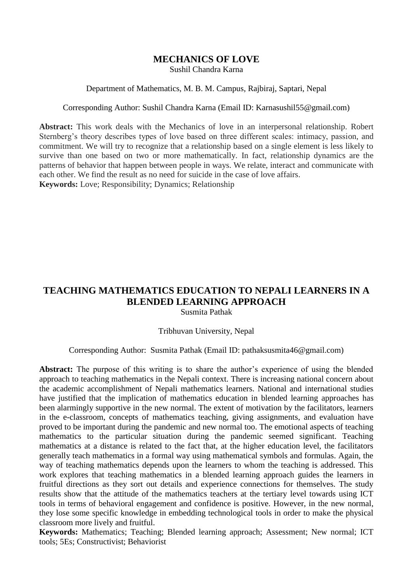## **MECHANICS OF LOVE**

Sushil Chandra Karna

#### Department of Mathematics, M. B. M. Campus, Rajbiraj, Saptari, Nepal

#### Corresponding Author: Sushil Chandra Karna [\(Email ID: Karnasushil55@gmail.com\)](mailto:Email%20ID:%20Karnasushil55@gmail.com)

**Abstract:** This work deals with the Mechanics of love in an interpersonal relationship. Robert Sternberg's theory describes types of love based on three different scales: intimacy, passion, and commitment. We will try to recognize that a relationship based on a single element is less likely to survive than one based on two or more mathematically. In fact, relationship dynamics are the patterns of behavior that happen between people in ways. We relate, interact and communicate with each other. We find the result as no need for suicide in the case of love affairs. **Keywords:** Love; Responsibility; Dynamics; Relationship

#### **TEACHING MATHEMATICS EDUCATION TO NEPALI LEARNERS IN A BLENDED LEARNING APPROACH** Susmita Pathak

#### Tribhuvan University, Nepal

#### Corresponding Author: Susmita Pathak (Email ID: pathaksusmita46@gmail.com)

**Abstract:** The purpose of this writing is to share the author's experience of using the blended approach to teaching mathematics in the Nepali context. There is increasing national concern about the academic accomplishment of Nepali mathematics learners. National and international studies have justified that the implication of mathematics education in blended learning approaches has been alarmingly supportive in the new normal. The extent of motivation by the facilitators, learners in the e-classroom, concepts of mathematics teaching, giving assignments, and evaluation have proved to be important during the pandemic and new normal too. The emotional aspects of teaching mathematics to the particular situation during the pandemic seemed significant. Teaching mathematics at a distance is related to the fact that, at the higher education level, the facilitators generally teach mathematics in a formal way using mathematical symbols and formulas. Again, the way of teaching mathematics depends upon the learners to whom the teaching is addressed. This work explores that teaching mathematics in a blended learning approach guides the learners in fruitful directions as they sort out details and experience connections for themselves. The study results show that the attitude of the mathematics teachers at the tertiary level towards using ICT tools in terms of behavioral engagement and confidence is positive. However, in the new normal, they lose some specific knowledge in embedding technological tools in order to make the physical classroom more lively and fruitful.

**Keywords:** Mathematics; Teaching; Blended learning approach; Assessment; New normal; ICT tools; 5Es; Constructivist; Behaviorist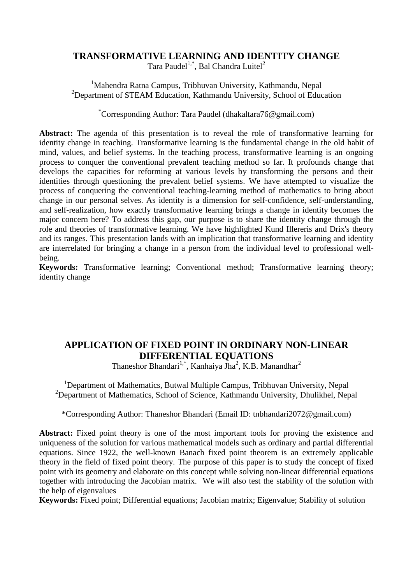#### **TRANSFORMATIVE LEARNING AND IDENTITY CHANGE**

Tara Paudel<sup>1,\*</sup>, Bal Chandra Luitel<sup>2</sup>

<sup>1</sup>Mahendra Ratna Campus, Tribhuvan University, Kathmandu, Nepal <sup>2</sup>Department of STEAM Education, Kathmandu University, School of Education

\*Corresponding Author: Tara Paudel (dhakaltara76@gmail.com)

**Abstract:** The agenda of this presentation is to reveal the role of transformative learning for identity change in teaching. Transformative learning is the fundamental change in the old habit of mind, values, and belief systems. In the teaching process, transformative learning is an ongoing process to conquer the conventional prevalent teaching method so far. It profounds change that develops the capacities for reforming at various levels by transforming the persons and their identities through questioning the prevalent belief systems. We have attempted to visualize the process of conquering the conventional teaching-learning method of mathematics to bring about change in our personal selves. As identity is a dimension for self-confidence, self-understanding, and self-realization, how exactly transformative learning brings a change in identity becomes the major concern here? To address this gap, our purpose is to share the identity change through the role and theories of transformative learning. We have highlighted Kund Illereris and Drix's theory and its ranges. This presentation lands with an implication that transformative learning and identity are interrelated for bringing a change in a person from the individual level to professional wellbeing.

**Keywords:** Transformative learning; Conventional method; Transformative learning theory; identity change

# **APPLICATION OF FIXED POINT IN ORDINARY NON-LINEAR DIFFERENTIAL EQUATIONS**

Thaneshor Bhandari<sup>1,\*</sup>, Kanhaiya Jha<sup>2</sup>, K.B. Manandhar<sup>2</sup>

<sup>1</sup>Department of Mathematics, Butwal Multiple Campus, Tribhuvan University, Nepal <sup>2</sup>Department of Mathematics, School of Science, Kathmandu University, Dhulikhel, Nepal

\*Corresponding Author: Thaneshor Bhandari (Email ID: tnbhandari2072@gmail.com)

Abstract: Fixed point theory is one of the most important tools for proving the existence and uniqueness of the solution for various mathematical models such as ordinary and partial differential equations. Since 1922, the well-known Banach fixed point theorem is an extremely applicable theory in the field of fixed point theory. The purpose of this paper is to study the concept of fixed point with its geometry and elaborate on this concept while solving non-linear differential equations together with introducing the Jacobian matrix. We will also test the stability of the solution with the help of eigenvalues

**Keywords:** Fixed point; Differential equations; Jacobian matrix; Eigenvalue; Stability of solution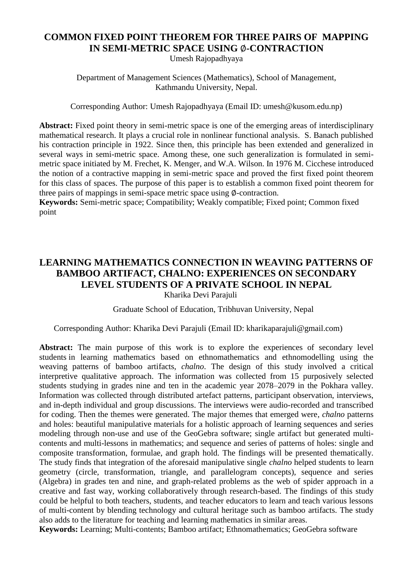# **COMMON FIXED POINT THEOREM FOR THREE PAIRS OF MAPPING IN SEMI-METRIC SPACE USING Ø-CONTRACTION**

Umesh Rajopadhyaya

Department of Management Sciences (Mathematics), School of Management, Kathmandu University, Nepal.

Corresponding Author: Umesh Rajopadhyaya (Email ID: umesh@kusom.edu.np)

**Abstract:** Fixed point theory in semi-metric space is one of the emerging areas of interdisciplinary mathematical research. It plays a crucial role in nonlinear functional analysis. S. Banach published his contraction principle in 1922. Since then, this principle has been extended and generalized in several ways in semi-metric space. Among these, one such generalization is formulated in semimetric space initiated by M. Frechet, K. Menger, and W.A. Wilson. In 1976 M. Cicchese introduced the notion of a contractive mapping in semi-metric space and proved the first fixed point theorem for this class of spaces. The purpose of this paper is to establish a common fixed point theorem for three pairs of mappings in semi-space metric space using ∅-contraction.

**Keywords:** Semi-metric space; Compatibility; Weakly compatible; Fixed point; Common fixed point

## **LEARNING MATHEMATICS CONNECTION IN WEAVING PATTERNS OF BAMBOO ARTIFACT, CHALNO: EXPERIENCES ON SECONDARY LEVEL STUDENTS OF A PRIVATE SCHOOL IN NEPAL** Kharika Devi Parajuli

#### Graduate School of Education, Tribhuvan University, Nepal

#### Corresponding Author: Kharika Devi Parajuli (Email ID: [kharikaparajuli@gmail.com\)](mailto:kharikaparajuli@gmail.com)

Abstract: The main purpose of this work is to explore the experiences of secondary level students in learning mathematics based on ethnomathematics and ethnomodelling using the weaving patterns of bamboo artifacts, *chalno*. The design of this study involved a critical interpretive qualitative approach. The information was collected from 15 purposively selected students studying in grades nine and ten in the academic year 2078–2079 in the Pokhara valley. Information was collected through distributed artefact patterns, participant observation, interviews, and in-depth individual and group discussions. The interviews were audio-recorded and transcribed for coding. Then the themes were generated. The major themes that emerged were, *chalno* patterns and holes: beautiful manipulative materials for a holistic approach of learning sequences and series modeling through non-use and use of the GeoGebra software; single artifact but generated multicontents and multi-lessons in mathematics; and sequence and series of patterns of holes: single and composite transformation, formulae, and graph hold. The findings will be presented thematically. The study finds that integration of the aforesaid manipulative single *chalno* helped students to learn geometry (circle, transformation, triangle, and parallelogram concepts), sequence and series (Algebra) in grades ten and nine, and graph-related problems as the web of spider approach in a creative and fast way, working collaboratively through research-based. The findings of this study could be helpful to both teachers, students, and teacher educators to learn and teach various lessons of multi-content by blending technology and cultural heritage such as bamboo artifacts. The study also adds to the literature for teaching and learning mathematics in similar areas.

**Keywords:** Learning; Multi-contents; Bamboo artifact; Ethnomathematics; GeoGebra software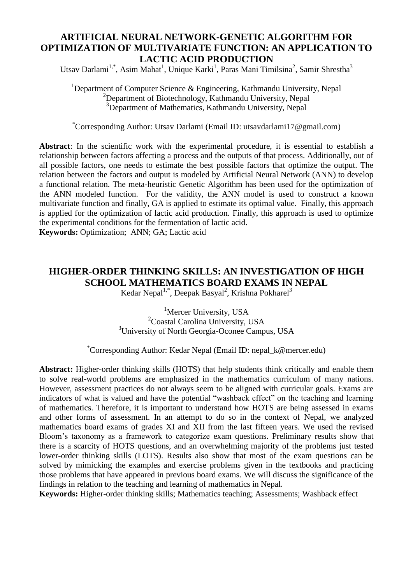## **ARTIFICIAL NEURAL NETWORK-GENETIC ALGORITHM FOR OPTIMIZATION OF MULTIVARIATE FUNCTION: AN APPLICATION TO LACTIC ACID PRODUCTION**

Utsav Darlami<sup>1,\*</sup>, Asim Mahat<sup>1</sup>, Unique Karki<sup>1</sup>, Paras Mani Timilsina<sup>2</sup>, Samir Shrestha<sup>3</sup>

<sup>1</sup>Department of Computer Science & Engineering, Kathmandu University, Nepal  $2$ Department of Biotechnology, Kathmandu University, Nepal <sup>3</sup>Department of Mathematics, Kathmandu University, Nepal

\*Corresponding Author: Utsav Darlami (Email ID: utsavdarlami17@gmail.com)

**Abstract**: In the scientific work with the experimental procedure, it is essential to establish a relationship between factors affecting a process and the outputs of that process. Additionally, out of all possible factors, one needs to estimate the best possible factors that optimize the output. The relation between the factors and output is modeled by Artificial Neural Network (ANN) to develop a functional relation. The meta-heuristic Genetic Algorithm has been used for the optimization of the ANN modeled function. For the validity, the ANN model is used to construct a known multivariate function and finally, GA is applied to estimate its optimal value. Finally, this approach is applied for the optimization of lactic acid production. Finally, this approach is used to optimize the experimental conditions for the fermentation of lactic acid.

**Keywords:** Optimization; ANN; GA; Lactic acid

# **HIGHER-ORDER THINKING SKILLS: AN INVESTIGATION OF HIGH SCHOOL MATHEMATICS BOARD EXAMS IN NEPAL**

Kedar Nepal<sup>1,\*</sup>, Deepak Basyal<sup>2</sup>, Krishna Pokharel<sup>3</sup>

<sup>1</sup>Mercer University, USA <sup>2</sup>Coastal Carolina University, USA <sup>3</sup>University of North Georgia-Oconee Campus, USA

\*Corresponding Author: Kedar Nepal (Email ID: nepal\_k@mercer.edu)

**Abstract:** Higher-order thinking skills (HOTS) that help students think critically and enable them to solve real-world problems are emphasized in the mathematics curriculum of many nations. However, assessment practices do not always seem to be aligned with curricular goals. Exams are indicators of what is valued and have the potential "washback effect" on the teaching and learning of mathematics. Therefore, it is important to understand how HOTS are being assessed in exams and other forms of assessment. In an attempt to do so in the context of Nepal, we analyzed mathematics board exams of grades XI and XII from the last fifteen years. We used the revised Bloom's taxonomy as a framework to categorize exam questions. Preliminary results show that there is a scarcity of HOTS questions, and an overwhelming majority of the problems just tested lower-order thinking skills (LOTS). Results also show that most of the exam questions can be solved by mimicking the examples and exercise problems given in the textbooks and practicing those problems that have appeared in previous board exams. We will discuss the significance of the findings in relation to the teaching and learning of mathematics in Nepal.

**Keywords:** Higher-order thinking skills; Mathematics teaching; Assessments; Washback effect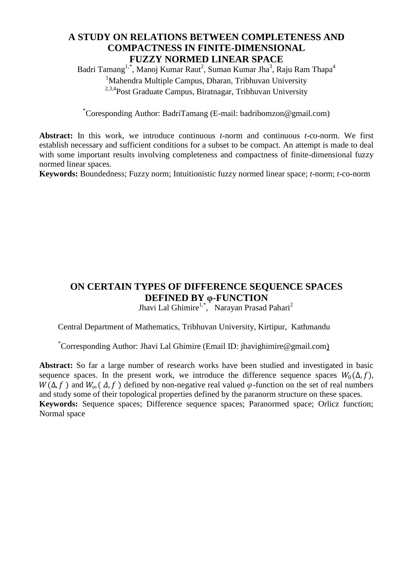## **A STUDY ON RELATIONS BETWEEN COMPLETENESS AND COMPACTNESS IN FINITE-DIMENSIONAL FUZZY NORMED LINEAR SPACE**

Badri Tamang $^{1,*}$ , Manoj Kumar Raut $^2$ , Suman Kumar Jha $^3$ , Raju Ram Thapa $^4$ <sup>1</sup>Mahendra Multiple Campus, Dharan, Tribhuvan University 2,3,4Post Graduate Campus, Biratnagar, Tribhuvan University

\*Coresponding Author: BadriTamang (E-mail: badribomzon@gmail.com)

**Abstract:** In this work, we introduce continuous *t*-norm and continuous *t*-co-norm. We first establish necessary and sufficient conditions for a subset to be compact. An attempt is made to deal with some important results involving completeness and compactness of finite-dimensional fuzzy normed linear spaces.

**Keywords:** Boundedness; Fuzzy norm; Intuitionistic fuzzy normed linear space; *t*-norm; *t*-co-norm

# **ON CERTAIN TYPES OF DIFFERENCE SEQUENCE SPACES DEFINED BY φ-FUNCTION**

Jhavi Lal Ghimire<sup>1,\*</sup>, Narayan Prasad Pahari<sup>2</sup>

Central Department of Mathematics, Tribhuvan University, Kirtipur, Kathmandu

\*Corresponding Author: Jhavi Lal Ghimire (Email ID: jhavighimire@gmail.com)

**Abstract:** So far a large number of research works have been studied and investigated in basic sequence spaces. In the present work, we introduce the difference sequence spaces  $W_0(\Delta, f)$ ,  $W(\Delta, f)$  and  $W_{\infty}(\Delta, f)$  defined by non-negative real valued  $\varphi$ -function on the set of real numbers and study some of their topological properties defined by the paranorm structure on these spaces. **Keywords:** Sequence spaces; Difference sequence spaces; Paranormed space; Orlicz function; Normal space